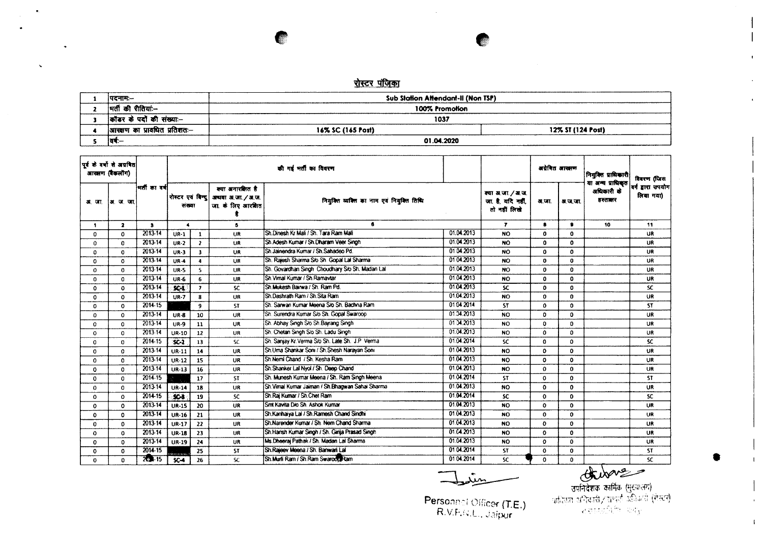## रोस्टर पंजिका

 $\sim$ 

 $\bullet.$ 

 $\sim$ 

| पदनाम:--                     | Sub Station Attendant-II (Non TSP) |                   |
|------------------------------|------------------------------------|-------------------|
| मर्ती की रीतियां:--          | 100% Promotion                     |                   |
| कॉडर के पदों की संख्या:--    | 1037                               |                   |
| आरक्षण का प्रावधित प्रतिशतः— | 16% SC (165 Post)                  | 12% ST (124 Post) |
| 19                           | 01.04.2020                         |                   |

| पर्वकं वर्षों से अग्रवित<br>आरसण (बैकलॉग) |              |             |                  |                      |                                                              | की गर्न मर्ती का विवरण                           |            |                                                        | अयेरित आरक्षण |              | नियुक्ति प्राधिकारी                         | विवरण (जिस                   |
|-------------------------------------------|--------------|-------------|------------------|----------------------|--------------------------------------------------------------|--------------------------------------------------|------------|--------------------------------------------------------|---------------|--------------|---------------------------------------------|------------------------------|
| अर. जा.                                   | अ.ज.जा       | भर्तीकावर्ष | रोस्टर एवं विन्द | संख्या               | क्या अनारक्षित है<br>अधवा अ.जा. / अ.ज.<br>जा. के लिए आरक्षित | नियुक्ति व्यक्ति का नाम एवं नियुक्ति तिथि        |            | क्या अ.जा. / अ.ज.<br>जा. है. यदि नहीं.<br>तो नहीं लिखे | अ.जा.         | अ.ज.जा.      | या अन्य प्राधिकृत<br>अधिकारी के<br>हस्तानार | बर्ग डारा उपयोग<br>लिया गया) |
| 1                                         | $\mathbf{z}$ | 3           | $\blacktriangle$ |                      | 5.                                                           | 6                                                |            | $\overline{r}$                                         | 8             | $\bullet$    | 10                                          | 11                           |
| 0                                         | 0            | 2013-14     | $UR-1$           | $\mathbf{1}$         | UR                                                           | Sh Dinesh Kr Mali / Sh. Tara Ram Mali            | 01.04.2013 | <b>NO</b>                                              | $\mathbf{0}$  | $\mathbf 0$  |                                             | UR                           |
| 0                                         | 0            | 2013-14     | $UR-2$           | $\mathbf{z}$         | UR                                                           | Sh.Adesh Kumar / Sh.Dharam Veer Singh            | 01.04.2013 | <b>NO</b>                                              | $\Omega$      | $\mathbf 0$  |                                             | <b>UR</b>                    |
| 0                                         | $\Omega$     | 2013-14     | $UR-3$           | $\mathbf{3}$         | <b>UR</b>                                                    | Sh.Jainendra Kumar / Sh.Sahadeo Pd.              | 0104.2013  | <b>NO</b>                                              | $\Omega$      | 0            |                                             | UR                           |
| 0                                         | $\mathbf{o}$ | 2013-14     | <b>UR-4</b>      | $\blacktriangleleft$ | UR                                                           | Sh. Raiesh Sharma S/o Sh. Gopal Lal Sharma       | 0104.2013  | <b>NO</b>                                              | $\Omega$      | $\mathbf 0$  |                                             | <b>UR</b>                    |
| $\Omega$                                  | $\Omega$     | 2013-14     | <b>UR-5</b>      | $\mathbf{S}$         | UR                                                           | Sh. Govardhan Singh Choudhary S/o Sh. Madan Lal  | 01.04.2013 | <b>NO</b>                                              | $\mathbf 0$   | 0            |                                             | UR.                          |
| 0                                         | $\Omega$     | $2013 - 14$ | <b>UR-6</b>      | 6                    | UR                                                           | Sh. Vimal Kumar / Sh. Ramavtar                   | 01.04.2013 | <b>NO</b>                                              | 0             | 0            |                                             | <b>UR</b>                    |
| $\Omega$                                  | $\Omega$     | 2013-14     | $SC-1$           | $\mathbf{r}$         | <b>SC</b>                                                    | Sh. Mukesh Bairwa / Sh. Ram Pd.                  | 01.04.2013 | <b>SC</b>                                              | $\mathbf{o}$  | 0            |                                             | SC.                          |
| 0                                         | $\Omega$     | 2013-14     | $UR-7$           | 8                    | UR                                                           | Sh.Dashrath Ram / Sh.Sita Ram                    | 01.04.2013 | <b>NO</b>                                              | $\mathbf{0}$  | $\mathbf{0}$ |                                             | UR                           |
| 0                                         | $^{\circ}$   | 2014.15     |                  | 9                    | ST                                                           | Sh. Sarwan Kumar Meena S/o Sh. Bachna Ram        | 0104.2014  | <b>ST</b>                                              | $\Omega$      | $\mathbf 0$  |                                             | ST.                          |
| 0                                         | 0            | 2013-14     | <b>UR-8</b>      | 10                   | <b>UR</b>                                                    | Sh. Surendra Kumar S/o Sh. Gopal Swaroop         | 01.04.2013 | <b>NO</b>                                              | $\mathbf{c}$  | 0            |                                             | UR.                          |
| 0                                         | 0            | $2013 - 14$ | <b>UR-9</b>      | 11                   | <b>UR</b>                                                    | Sh. Abhay Singh S/o Sh. Bairang Singh            | 01 34.2013 | <b>NO</b>                                              | $\Omega$      | 0            |                                             | UR                           |
| 0                                         | $\Omega$     | $2013 - 14$ | <b>UR-10</b>     | 12                   | UR                                                           | Sh. Chetan Singh S/o Sh. Ladu Singh              | 01.04.2013 | <b>NO</b>                                              | 0             | 0            |                                             | UR                           |
| $\Omega$                                  | $\Omega$     | 2014-15     | $SC-2$           | 13                   | <b>SC</b>                                                    | Sh. Sanjay Kr. Verma S/o Sh. Late Sh. J.P. Verma | 01.04.2014 | <b>SC</b>                                              | $\mathbf{0}$  | $\Omega$     |                                             | <b>SC</b>                    |
| $\Omega$                                  | $\Omega$     | 2013-14     | $UR-11$          | 14                   | UR                                                           | Sh.Uma Shankar Soni / Sh.Shesh Naravan Soni      | 01.04.2013 | <b>NO</b>                                              | $\Omega$      | $\Omega$     |                                             | <b>UR</b>                    |
| 0                                         | $\Omega$     | 2013-14     | $UR-12$          | 15                   | UR                                                           | Sh.Nemi Chand / Sh. Kesha Ram                    | 01.04.2013 | <b>NO</b>                                              | 0             | $\mathbf 0$  |                                             | UR.                          |
| 0                                         | 0            | $2013 - 14$ | $UR-13$          | 16                   | <b>UR</b>                                                    | Sh.Shanker Lal Nyol / Sh. Deep Chand             | 01.04.2013 | <b>NO</b>                                              | $\bf{0}$      | $\mathbf 0$  |                                             | <b>UR</b>                    |
| 0                                         | $\Omega$     | 2014-15     |                  | 17                   | <b>ST</b>                                                    | Sh. Munesh Kumar Meena / Sh. Ram Singh Meena     | 01.04.2014 | <b>ST</b>                                              | 0             | $\mathbf{o}$ |                                             | <b>ST</b>                    |
| 0                                         | $\Omega$     | 2013-14     | <b>UR-14</b>     | 18                   | UR                                                           | Sh.Vimal Kumar Jaiman / Sh.Bhagwan Sahai Sharma  | 01.04.2013 | <b>NO</b>                                              | 0             | $\mathbf{0}$ |                                             | <b>UR</b>                    |
| 0                                         | 0            | 2014-15     | \$23             | 19                   | <b>SC</b>                                                    | Sh. Raj Kumar / Sh. Chet Ram                     | 01.04.2014 | <b>SC</b>                                              | $\mathbf 0$   | $\mathbf{0}$ |                                             | <sub>SC</sub>                |
| 0                                         | $\Omega$     | 2013-14     | <b>UR-15</b>     | 20                   | UR                                                           | Smt Kavita Dio Sh. Ashok Kumar                   | 01.04.2013 | <b>NO</b>                                              | $\Omega$      | 0            |                                             | <b>UR</b>                    |
| $\Omega$                                  | $\Omega$     | 2013-14     | <b>UR-16</b>     | 21                   | UR                                                           | Sh.Kanhaiya Lal / Sh.Ramesh Chand Sindhi         | 0104.2013  | <b>NO</b>                                              | $\mathbf{0}$  | $\mathbf 0$  |                                             | <b>UR</b>                    |
| 0                                         | $\Omega$     | $2013 - 14$ | <b>UR-17</b>     | 22                   | UR                                                           | Sh.Narender Kumar / Sh. Nem Chand Sharma         | 01.04.2013 | <b>NO</b>                                              | $\mathbf 0$   | $\mathbf 0$  |                                             | <b>UR</b>                    |
| $\Omega$                                  | $\Omega$     | $2013 - 14$ | $UR-18$          | 23                   | UR                                                           | Sh.Harish Kumar Singh / Sh. Girija Prasad Singh  | 01.04.2013 | <b>NO</b>                                              | 0             | $\mathbf{o}$ |                                             | <b>UR</b>                    |
| 0                                         | $\Omega$     | 2013-14     | <b>UR-19</b>     | 24                   | UR                                                           | Ms.Dheeraj Pathak / Sh. Madan Lal Sharma         | 01.04.2013 | <b>NO</b>                                              | 0             | $\mathbf 0$  |                                             | UR.                          |
| 0                                         | 0            | $2014 - 15$ |                  | -25                  | <b>ST</b>                                                    | Sh.Rajeev Meena / Sh. Banwari Lal                | 01.04.2014 | <b>ST</b>                                              | 0             | $\mathbf 0$  |                                             | <b>ST</b>                    |
| $\Omega$                                  | $\Omega$     | $20 + 15$   | <b>SC-4</b>      | 26                   | SC.                                                          | Sh. Murli Ram / Sh. Ram Swaroop Ram              | 01.04.2014 | <b>SC</b>                                              | 0             | $\mathbf 0$  |                                             | SC.                          |

حينمعط

 $\frac{10}{\text{cm} \cdot \text{cm}}$   $\frac{1}{\text{cm} \cdot \text{cm}}$   $\frac{1}{\text{cm} \cdot \text{cm}}$   $\frac{1}{\text{cm} \cdot \text{cm}}$   $\frac{1}{\text{cm} \cdot \text{cm}}$   $\frac{1}{\text{cm} \cdot \text{cm}}$   $\frac{1}{\text{cm} \cdot \text{cm}}$   $\frac{1}{\text{cm} \cdot \text{cm}}$   $\frac{1}{\text{cm} \cdot \text{cm}}$   $\frac{1}{\text{cm} \cdot \text{cm}}$   $\frac{1}{\text{cm} \cdot \text{cm}}$ 

 $\bullet$ 

 $\mathbf{f}$ 

Personnel Officer (T.E.)<br>R.V.P.W.L., Jaipur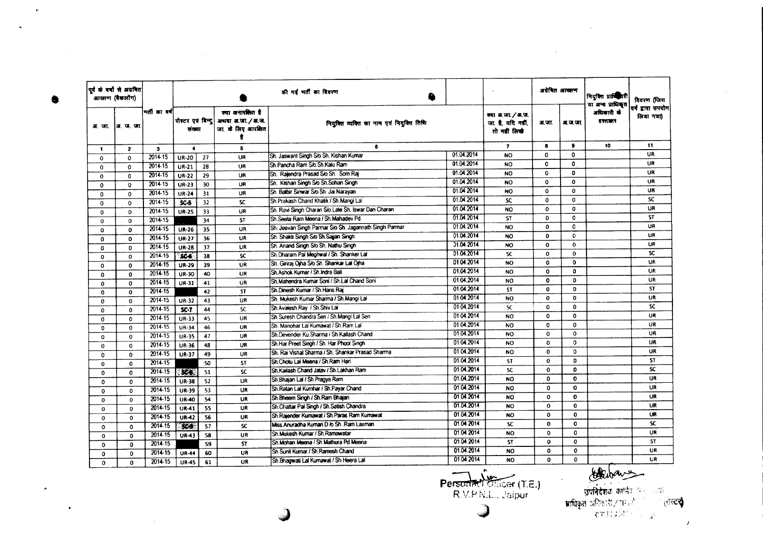|                         | पूर्व के वर्षों से अग्रवित<br>आरक्षण (बैकलॉंग) |                         |                             |                 |                                                              | की गई भर्ती का विवरण<br>♠                              |            |                                                        | अवेबित आरामण |              | नियुक्ति प्रार्थिकियी<br>या अन्य प्राधिकृत | विवरण (जिस                     |
|-------------------------|------------------------------------------------|-------------------------|-----------------------------|-----------------|--------------------------------------------------------------|--------------------------------------------------------|------------|--------------------------------------------------------|--------------|--------------|--------------------------------------------|--------------------------------|
|                         | अर. जा. !अर. ज. जा.                            | भर्ती का वर्ष           | रोस्टर एवं बिन्दु<br>संख्या |                 | क्या अनारबिस्त है<br>अथवा अ.जा. / अ.ज.<br>जा. के लिए आरक्षित | नियंक्ति व्यक्ति का नाम एवं नियुक्ति तिथि              |            | क्या अ.जा. / अ.ज.<br>जा. है. यदि नहीं,<br>तो नहीं लिखे | अ.जा.        | अ.ज.जा.      | अधिकारी के<br>हरराषार                      | वर्ग द्वारा उपयोग<br>लिया गया) |
| $\ddot{\phantom{1}}$    | $\mathbf{z}$                                   | $\overline{\mathbf{3}}$ | $\bullet$                   |                 | 6                                                            | 6                                                      |            | $\overline{7}$                                         | $\bullet$    | ٠            | 10                                         | 11                             |
| $\mathbf{o}$            | $\mathbf{o}$                                   | 2014-15                 | <b>UR-20</b>                | 27              | UR                                                           | Sh. Jaswant Singh S/o Sh. Kishan Kumar                 | 01.04.2014 | <b>NO</b>                                              | $\Omega$     | 0            |                                            | <b>UR</b>                      |
| $\mathbf{o}$            | $\Omega$                                       | 2014-15                 | $UR-21$                     | 28              | UR                                                           | Sh.Pancha Ram S/o.Sh.Kalu Ram                          | 01.04.2014 | <b>NO</b>                                              | $\mathbf{o}$ | 0            |                                            | UR                             |
| $\Omega$                | $\mathbf{o}$                                   | 2014-15                 | <b>UR-22</b>                | 29              | UR                                                           | Sh. Raiendra Prasad Sio Sh. Som Rai                    | 01.04.2014 | <b>NO</b>                                              | $\Omega$     | 0            |                                            | UR                             |
| $\mathbf 0$             | $\mathbf{0}$                                   | 2014-15                 | $UR-23$                     | 30              | UR                                                           | Sh. Kishan Singh S/o Sh.Sohan Singh                    | 01.04.2014 | <b>NO</b>                                              | $\Omega$     | $\mathbf 0$  |                                            | <b>UR</b>                      |
| $\mathbf 0$             | 0                                              | 2014-15                 | <b>UR-24</b>                | 31              | UR                                                           | Sh. Balbir Sirwar S/o Sh. Jai Narayan                  | 01.04.2014 | NO.                                                    | $\mathbf 0$  | $\mathbf{o}$ |                                            | UR                             |
| $\Omega$                | 0                                              | $2014 - 15$             | $SC-5$                      | 32              | $\overline{SC}$                                              | Sh.Prakash Chand Khatik / Sh.Mangi Lal                 | 01.04.2014 | SC.                                                    | $\mathbf{o}$ | $\mathbf 0$  |                                            | SC.                            |
| 0                       | $\mathbf{0}$                                   | 2014-15                 | <b>UR-25</b>                | 33              | UR                                                           | Sh. Ravi Singh Charan S/o Late Sh. Iswar Dan Charan    | 01.04.2014 | <b>NO</b>                                              | $\Omega$     | $\mathbf{o}$ |                                            | <b>UR</b>                      |
| 0                       | $\mathbf{0}$                                   | 2014-15                 |                             | 34              | <b>ST</b>                                                    | Sh.Seeta Ram Meena / Sh.Mahadev Pd                     | 01.04.2014 | <b>ST</b>                                              | $\Omega$     | $\mathbf{0}$ |                                            | <b>ST</b>                      |
| $\mathbf{o}$            | $\mathbf 0$                                    | 2014-15                 | UR-26                       | 35              | UR                                                           | Sh. Jeevan Singh Parmar Sio Sh. Jagannath Singh Parmar | 01.04.2014 | NO.                                                    | $\mathbf{0}$ | $\mathbf{0}$ |                                            | UR                             |
| $\mathbf 0$             | $\Omega$                                       | $2014 - 15$             | <b>UR-27</b>                | $\overline{36}$ | UR                                                           | Sh. Shakti Singh S/o Sh. Sajian Singh                  | 01.04.2014 | <b>NO</b>                                              | 0            | o.           |                                            | <b>UR</b>                      |
| 0                       | $\Omega$                                       | 2014-15                 | <b>UR-28</b>                | 37              | UR                                                           | Sh. Anand Singh S/o Sh. Nathu Singh                    | 01.04.2014 | <b>NO</b>                                              | $\Omega$     | $\mathbf{0}$ |                                            | UR                             |
| $\mathbf{0}$            | $\mathbf 0$                                    | 2014-15                 | SC4                         | 38              | SC.                                                          | Sh.Dharam Pal Meghwal / Sh. Shanker Lal                | 01.04.2014 | <b>SC</b>                                              | $\mathbf 0$  | $\mathbf{o}$ |                                            | SC.                            |
| 0                       | $\mathbf{o}$                                   | $2014 - 15$             | <b>UR-29</b>                | 39              | UR                                                           | Sh. Giriraj Ojha S/o Sh. Shankar Lal Ojha              | 01.04.2014 | <b>NO</b>                                              | $\Omega$     | $\mathbf 0$  |                                            | <b>UR</b>                      |
| $\mathbf 0$             | $\mathbf 0$                                    | 2014-15                 | UR-30                       | 40              | <b>UR</b>                                                    | Sh.Ashok Kumar / Sh.Indra Bali                         | 01.04.2014 | <b>NO</b>                                              | $\mathbf{o}$ | $\mathbf{o}$ |                                            | <b>UR</b>                      |
| $\mathbf{0}$            | $\Omega$                                       | $2014 - 15$             | UR-31                       | 41              | <b>UR</b>                                                    | Sh Mahendra Kumar Soni / Sh.Lal Chand Soni             | 01.04.2014 | NO.                                                    | $\mathbf{o}$ | $\Omega$     |                                            | <b>UR</b>                      |
| $\Omega$                | $\mathbf 0$                                    | 2014-15                 |                             | 42              | <b>ST</b>                                                    | Sh.Dinesh Kumar / Sh.Hans Rai                          | 01.04.2014 | <b>ST</b>                                              | $\mathbf{o}$ | $\mathbf{0}$ |                                            | <b>ST</b>                      |
| $\mathbf{0}$            | $\mathbf 0$                                    | $2014 - 15$             | <b>UR-32</b>                | 43              | UR                                                           | Sh. Mukesh Kumar Sharma / Sh.Mangi Lal                 | 01.04.2014 | NO.                                                    | 0            | $\mathbf 0$  |                                            | UR                             |
| $\mathbf{0}$            | $\mathbf 0$                                    | 2014-15                 | $SC-7$                      | 44              | SC.                                                          | Sh Avalesh Ray / Sh Shiv Lal                           | 01 04:2014 | SC.                                                    | 0            | $\mathbf 0$  |                                            | SC.                            |
| $\mathbf{0}$            | $\mathbf{0}$                                   | 2014-15                 | UR-33                       | 45              | UR                                                           | Sh Suresh Chandra Sen / Sh. Mangi Lal Sen              | 01.04.2014 | <b>NO</b>                                              | $\Omega$     | $\mathbf{0}$ |                                            | UR.                            |
| $\mathbf{0}$            | $\mathbf 0$                                    | $2014 - 15$             | <b>UR-34</b>                | 46              | UR                                                           | Sh. Manohar Lal Kumawat / Sh. Ram Lal                  | 01.04.2014 | <b>NO</b>                                              | 0            | $\mathbf 0$  |                                            | UR                             |
| 0                       | $\mathbf{0}$                                   | 2014-15                 | UR-35                       | 47              | UR                                                           | Sh Devender Ku Sharma / Sh Kailash Chand               | 01.04.2014 | <b>NO</b>                                              | 0            | $\mathbf 0$  |                                            | UR                             |
| 0                       | $\Omega$                                       | $2014 - 15$             | UR-36                       | 48              | UR                                                           | Sh.Har Preet Singh / Sh. Har Phool Singh               | 01.04.2014 | <b>NO</b>                                              | $\mathbf{0}$ | $\circ$      |                                            | UR                             |
| $\mathbf 0$             | $\mathbf 0$                                    | 2014-15                 | <b>UR-37</b>                | 49              | UR                                                           | Sh. Rai Vishal Sharma / Sh. Shankar Prasad Sharma      | 01.04.2014 | <b>NO</b>                                              | $\Omega$     | $\Omega$     |                                            | <b>UR</b>                      |
| $\mathbf 0$             | $\mathbf 0$                                    | 2014.15                 |                             | 50              | ST                                                           | Sh.Chotu Lai Meena / Sh.Ram Hari                       | 01.04.2014 | <b>ST</b>                                              | $\mathbf{0}$ | Ð            |                                            | <b>ST</b>                      |
| $\Omega$                | $\mathbf{0}$                                   | $2014 - 15$             | <b>SCAR</b>                 | 51              | <b>SC</b>                                                    | Sh Kailash Chand Jatav / Sh Lakhan Ram                 | 01.04.2014 | SC.                                                    | $\mathbf o$  | O            |                                            | <b>SC</b>                      |
| $\mathbf{o}$            | $\Omega$                                       | 2014-15                 | <b>UR-38</b>                | 52              | <b>UR</b>                                                    | Sh. Bhajan Lal / Sh. Pragya Ram                        | 01.04.2014 | NO.                                                    | $\mathbf{o}$ | $\mathbf{0}$ |                                            | UR                             |
| $\mathbf 0$             | 0                                              | $2014 - 15$             | <b>UR-39</b>                | 53              | UR                                                           | Sh. Ratan Lal Kumhar / Sh. Payar Chand                 | 01.04.2014 | NO.                                                    | 0            | $\mathbf 0$  |                                            | UR                             |
| $\mathbf{o}$            | $\mathbf{o}$                                   | 2014-15                 | <b>UR-40</b>                | 54              | UR                                                           | Sh.Bheem Singh / Sh.Ram Bhajan                         | 01.04.2014 | <b>NO</b>                                              | $\Omega$     | $\mathbf 0$  |                                            | UR                             |
| 0                       | $\mathbf{0}$                                   | 2014-15                 | <b>UR-41</b>                | 55              | UR                                                           | Sh.Chattar Pal Singh / Sh.Satish Chandra               | 01.04.2014 | NO.                                                    | $\mathbf{0}$ | $\bullet$    |                                            | UR                             |
| $\Omega$                | 0                                              | 2014.15                 | <b>UR-42</b>                | 56              | <b>UR</b>                                                    | Sh Raiender Kumawat / Sh Paras Ram Kumawat             | 01.04.2014 | <b>NO</b>                                              | $\mathbf{o}$ | $\mathbf{o}$ |                                            | UR                             |
|                         | 0                                              | $2014 - 15$             | <b>COS</b>                  | 57              | <b>SC</b>                                                    | Miss Anuradha Kumari D /o Sh. Ram Laxman               | 01.04.2014 | SC.                                                    | $\mathbf{0}$ | $\mathbf{o}$ |                                            | <b>SC</b>                      |
| $\circ$                 | $\mathbf{o}$                                   | $2014 - 15$             | UR-43                       | 58              | UR                                                           | Sh.Mukesh Kumar / Sh.Ramawatar                         | 01.04.2014 | <b>NO</b>                                              | $\mathbf{0}$ | 0            |                                            | UR                             |
| $\mathbf 0$<br>$\Omega$ | 0                                              | 2014-15                 |                             | 59              | <b>ST</b>                                                    | Sh. Mohan Meena / Sh. Mathura Pd Meena                 | 01.04.2014 | <b>ST</b>                                              | $\mathbf 0$  | $\mathbf{o}$ |                                            | <b>ST</b>                      |
| $\Omega$                | 0                                              | 2014-15                 | <b>UR-44</b>                | 60              | <b>UR</b>                                                    | Sh Sunil Kumar / Sh Ramesh Chand                       | 01.04.2014 | NO.                                                    | $\mathbf 0$  | $\mathbf{o}$ |                                            | UR                             |
| $\mathbf{o}$            | $\mathbf{o}$                                   | 2014-15                 | <b>UR-45</b>                | 61              | UR                                                           | Sh. Bhagwati Lal Kumawat / Sh. Heera Lal               | 01.04.2014 | NO.                                                    | $\mathbf{0}$ | 0            |                                            | <b>UR</b>                      |

▲

 $\boldsymbol{\epsilon}$ 

 $\bullet$ 

 $\sim$ 

 $\bullet$ 

Personnel Officer (T.E.)<br>R.V.P.N.L., Jaipur J

 $\sim$ 

 $\overline{1}$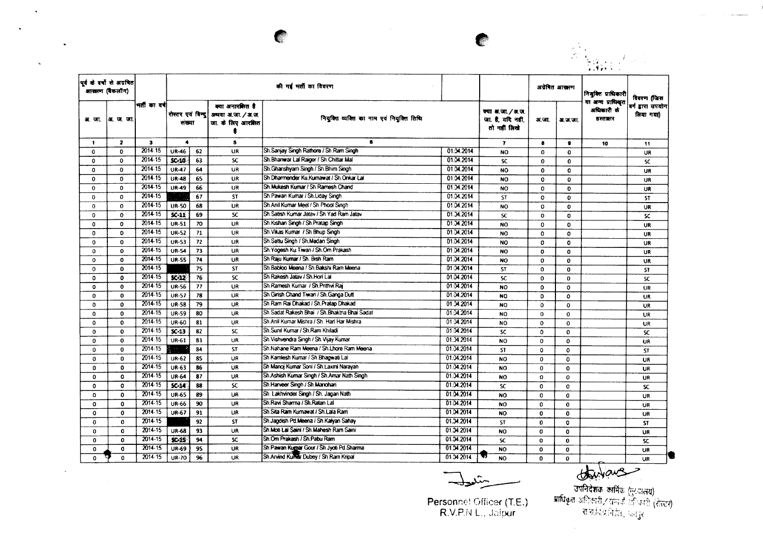

i<br>Santa

|              | <br> पूर्वकं वर्षों से अग्रवित<br>आखाण (बैकलॉग) |               |                      |    |                                                                              | की गई भर्ती का विवरण                         |            |                                                        |              | अग्रेमित आरामण | नियुक्ति प्राधिकारी                         | विवरण (जिस                   |
|--------------|-------------------------------------------------|---------------|----------------------|----|------------------------------------------------------------------------------|----------------------------------------------|------------|--------------------------------------------------------|--------------|----------------|---------------------------------------------|------------------------------|
| अ. जा.       | अ. ज. जा.                                       | भर्ती का वर्ष | सख्या                |    | क्या अनारशित है<br>रोस्टर एवं विन्दु अध्यया अ.जा. / अ.ज.<br>जा. के लिए आरमित | नियुक्ति व्यक्ति का नाम एवं नियुक्ति तिथि    |            | क्या अ.जा. / अ.ज.<br>जा. है, यदि नहीं,<br>तो नहीं लिखे | अ.जा.        | अ.ज.जा.        | या अन्य प्राधिकृत<br>अधिकारी के<br>डरराक्षर | बर्ग हारा उपयोग<br>लिया गया) |
| $\mathbf{1}$ | $\overline{\mathbf{z}}$                         | з             | $\blacktriangleleft$ |    | 5                                                                            | 6                                            |            | $\mathbf{7}$                                           | $\bullet$    | $\bullet$      | 10                                          | 11                           |
| 0            | $\mathbf{o}$                                    | 2014-15       | <b>UR-46</b>         | 62 | UR                                                                           | Sh.Sanjay Singh Rathore / Sh.Ram Singh       | 01.04.2014 | <b>NO</b>                                              | 0            | $\mathbf 0$    |                                             | <b>UR</b>                    |
| $\mathbf 0$  | $\mathbf{0}$                                    | 2014-15       | $SC-10$              | 63 | SC.                                                                          | Sh. Bhanwar Lal Raiger / Sh. Chittar Mal     | 01.04.2014 | SC.                                                    | $\Omega$     | $\Omega$       |                                             | SC.                          |
| $\bf{0}$     | $\Omega$                                        | $2014 - 15$   | <b>UR-47</b>         | 64 | UR                                                                           | Sh.Ghanshyam Singh / Sh.Bhim Singh           | 01.04.2014 | <b>NO</b>                                              | $\Omega$     | $\mathbf{o}$   |                                             | <b>UR</b>                    |
| $\mathbf 0$  | $\Omega$                                        | 2014.15       | <b>UR-48</b>         | 65 | <b>UR</b>                                                                    | Sh.Dharmender Ku.Kumawat / Sh.Onkar Lal      | 01.04.2014 | <b>NO</b>                                              | $\mathbf 0$  | $\mathbf{0}$   |                                             | UR                           |
| $\mathbf{o}$ | $\mathbf{0}$                                    | 2014-15       | <b>UR-49</b>         | 66 | UR                                                                           | Sh. Mukesh Kumar / Sh. Ramesh Chand          | 01:34.2014 | NO                                                     | $\Omega$     | $\bf{0}$       |                                             | <b>UR</b>                    |
| $\circ$      | $\mathbf 0$                                     | 2014-15       |                      | 67 | <b>ST</b>                                                                    | Sh.Pawan Kumar / Sh.Uday Singh               | 01:04:2014 | ST                                                     | $\mathbf{o}$ | $\mathbf{0}$   |                                             | <b>ST</b>                    |
| $\Omega$     | $\Omega$                                        | $2014 - 15$   | <b>UR-50</b>         | 68 | UR                                                                           | Sh.Anil Kumar Meel / Sh.Phool Singh          | 01:04:2014 | <b>NO</b>                                              | $\Omega$     | $\mathbf{0}$   |                                             | <b>UR</b>                    |
| $\Omega$     | $\mathbf{0}$                                    | $2014 - 15$   | $SC-11$              | 69 | SC.                                                                          | Sh. Satish Kumar Jatav / Sh Yad Ram Jatav    | 01.34.2014 | <b>SC</b>                                              | 0            | 0              |                                             | SC.                          |
| $\mathbf 0$  | 0                                               | $2014 - 15$   | <b>UR-51</b>         | 70 | UR                                                                           | Sh.Kishan Singh / Sh.Pratap Singh            | 01.34.2014 | NO                                                     | $\Omega$     | $\mathbf 0$    |                                             | <b>UR</b>                    |
| $\bf{0}$     | $\mathbf{0}$                                    | 2014-15       | <b>UR-52</b>         | 71 | <b>UR</b>                                                                    | Sh. Vikas Kumar / Sh. Bhup Singh             | 01.04.2014 | <b>NO</b>                                              | 0            | $\mathbf{o}$   |                                             | <b>UR</b>                    |
| $\Omega$     | $\mathbf{0}$                                    | 2014-15       | <b>UR-53</b>         | 72 | UR                                                                           | Sh.Sattu Singh / Sh.Madan Singh              | 01.04.2014 | <b>NO</b>                                              | $\Omega$     | $\mathbf{0}$   |                                             | <b>UR</b>                    |
| $\Omega$     | 0                                               | 2014-15       | <b>UR-54</b>         | 73 | UR                                                                           | Sh Yogesh Ku Tiwari / Sh.Om Prakash          | 01.34.2014 | <b>NO</b>                                              | $\Omega$     | $\mathbf{o}$   |                                             | <b>UR</b>                    |
| $\Omega$     | $\mathbf{o}$                                    | 2014-15       | UR-SS                | 74 | <b>UR</b>                                                                    | Sh Raju Kumar / Sh. Bish Ram                 | 01.04.2014 | <b>NO</b>                                              | $\Omega$     | $\mathbf{o}$   |                                             | UR                           |
| $\mathbf 0$  | $\Omega$                                        | $2014 - 15$   |                      | 75 | <b>ST</b>                                                                    | Sh.Babloo Meena / Sh.Bakshi Ram Meena        | 01:34.2014 | <b>ST</b>                                              | $\Omega$     | $\mathbf{o}$   |                                             | <b>ST</b>                    |
| 0            | $\mathbf{0}$                                    | 2014.15       | $SC-12$              | 76 | <b>SC</b>                                                                    | Sh Rakesh Jatav / Sh Hori Lal                | 01.04.2014 | <b>SC</b>                                              | 0            | 0              |                                             | <b>SC</b>                    |
| $\mathbf 0$  | $\mathbf{0}$                                    | 2014-15       | <b>UR-56</b>         | 77 | <b>UR</b>                                                                    | Sh Ramesh Kumar / Sh Prithvi Rai             | 01.04.2014 | <b>NO</b>                                              | $\mathbf 0$  | $\Omega$       |                                             | <b>UR</b>                    |
| 0            | $\mathbf{0}$                                    | 2014-15       | <b>UR-57</b>         | 78 | <b>UR</b>                                                                    | Sh Girish Chand Tiwari / Sh Ganga Dutt       | 01.04.2014 | <b>NO</b>                                              | $\Omega$     | $\mathbf{o}$   |                                             | <b>UR</b>                    |
| $\mathbf{0}$ | 0                                               | $2014 - 15$   | <b>UR-58</b>         | 79 | <b>UR</b>                                                                    | Sh.Ram Rai Dhakad / Sh.Pratap Dhakad         | 01.34.2014 | <b>NO</b>                                              | $\mathbf{0}$ | $\mathbf 0$    |                                             | <b>UR</b>                    |
| 0            | $\mathbf 0$                                     | $2014 - 15$   | <b>UR-59</b>         | 80 | <b>UR</b>                                                                    | Sh Sadat Rakesh Bhai / Sh Bhaktna Bhai Sadat | 01.04.2014 | <b>NO</b>                                              | 0            | O              |                                             | <b>UR</b>                    |
| $\Omega$     | $\Omega$                                        | 2014-15       | <b>UR-60</b>         | 81 | <b>UR</b>                                                                    | Sh Anil Kumar Mishra / Sh. Hari Har Mishra   | 01.04.2014 | <b>NO</b>                                              | $\Omega$     | $\mathbf 0$    |                                             | <b>UR</b>                    |
| $\mathbf{0}$ | $\mathbf{0}$                                    | 2014-15       | $SC-13$              | 82 | SC                                                                           | Sh.Sunil Kumar / Sh.Ram Khiladi              | 01:04:2014 | <b>SC</b>                                              | $\Omega$     | $\mathbf{0}$   |                                             | <b>SC</b>                    |
| $\mathbf 0$  | $\Omega$                                        | 2014-15       | UR-61                | 83 | UR                                                                           | Sh. Vishvendra Singh / Sh. Vijay Kumar       | 01.34.2014 | NO <sub>1</sub>                                        | $\mathbf 0$  | $\mathbf{o}$   |                                             | UR                           |
| $\mathbf 0$  | $\mathbf{0}$                                    | 2014-15       |                      | 84 | <b>ST</b>                                                                    | Sh.Nahane Ram Meena / Sh.Lhore Ram Meena     | 01.04.2014 | <b>ST</b>                                              | $\Omega$     | 0              |                                             | <b>ST</b>                    |
| $\mathbf 0$  | 0                                               | 2014-15       | <b>UR-62</b>         | 85 | <b>UR</b>                                                                    | Sh Kamlesh Kumar / Sh Bhagwati Lai           | 01.04.2014 | <b>NO</b>                                              | $\mathbf{0}$ | $\Omega$       |                                             | <b>UR</b>                    |
| 0            | 0                                               | 2014.15       | <b>UR-63</b>         | 86 | <b>UR</b>                                                                    | Sh Manoj Kumar Soni / Sh.Laxmi Narayan       | 01.04.2014 | NO <sub>1</sub>                                        | 0            | 0              |                                             | UR                           |
| $\mathbf 0$  | 0                                               | 2014-15       | UR-64                | 87 | UR                                                                           | Sh Ashish Kumar Singh / Sh Amar Nath Singh   | 01.04.2014 | NO                                                     | $\Omega$     | 0              |                                             | UR                           |
| 0            | 0                                               | 2014-15       | $SC-14$              | 88 | SC                                                                           | Sh.Harveer Singh / Sh.Manohari               | 01.04.2014 | <b>SC</b>                                              | $\mathbf 0$  | $\Omega$       |                                             | <b>SC</b>                    |
| 0            | $\mathbf{0}$                                    | 2014-15       | UR-65                | 89 | UR                                                                           | Sh. Lakhvinder Singh / Sh. Jagan Nath        | 01.04.2014 | NO                                                     | 0            | $\mathbf 0$    |                                             | UR                           |
| $\Omega$     | $\mathbf{0}$                                    | $2014 - 15$   | UR-66                | 90 | UR                                                                           | Sh. Ravi Sharma / Sh. Ratan Lal              | 01.04.2014 | NO <sub>1</sub>                                        | $\Omega$     | $\mathbf 0$    |                                             | <b>UR</b>                    |
| $\Omega$     | $\Omega$                                        | 2014-15       | <b>UR-67</b>         | 91 | UR                                                                           | Sh Sita Ram Kumawat / Sh Lala Ram            | 01.34.2014 | NO                                                     | $\mathbf{0}$ | $\Omega$       |                                             | UR                           |
| 0            | $\Omega$                                        | $2014 - 15$   |                      | 92 | <b>ST</b>                                                                    | Sh.Jagdish Pd.Meena / Sh.Kalyan Sahay        | 01.04.2014 | <b>ST</b>                                              | $\mathbf 0$  | $\mathbf o$    |                                             | <b>ST</b>                    |
| $\mathbf 0$  | $\Omega$                                        | 2014-15       | <b>UR-68</b>         | 93 | UR                                                                           | Sh. Moti Lai Saini / Sh. Mahesh Ram Saini    | 01.34.2014 | NO                                                     | $\mathbf{0}$ | $\Omega$       |                                             | UR                           |
| $\mathbf 0$  | 0                                               | 2014-15       | $x - 15$             | 94 | SC.                                                                          | Sh.Om Prakash / Sh.Pabu Ram                  | 01.04.2014 | <b>SC</b>                                              | $\mathbf 0$  | $\mathbf{0}$   |                                             | <b>SC</b>                    |
| $\mathbf{0}$ | $\mathbf 0$                                     | 2014-15       | UR-69                | 95 | <b>UR</b>                                                                    | Sh Pawan Kumar Gour / Sh Jyoti Pd Sharma     | 01.04.2014 | <b>NO</b>                                              | 0            | $\mathbf 0$    |                                             | <b>UR</b>                    |
| $\mathbf{o}$ | $\mathbf{0}$                                    | 2014-15       | <b>UR-70</b>         | 96 | <b>UR</b>                                                                    | Sh.Arvind Kumar Dubey / Sh Ram Kripal        | 01.04.2014 | <b>NO</b>                                              | $\mathbf 0$  | $\mathbf{o}$   |                                             | <b>UR</b>                    |
|              |                                                 |               |                      |    |                                                                              |                                              | $-2c-$     |                                                        |              |                | jave                                        |                              |

 $\mathcal{A}$ 

 $\ddot{\mathbf{v}}$ 

 $\omega$ 

يتنبي

**TANK** 

Personnel Officer (T.E.)<br>R.V.P.N L., Jaipur

स्टब्स्टर (मुख्यातय)<br>- उपनिदेशक कार्मिक (मुख्यातय)<br>- राजाविद्यानीति, फ्रापुर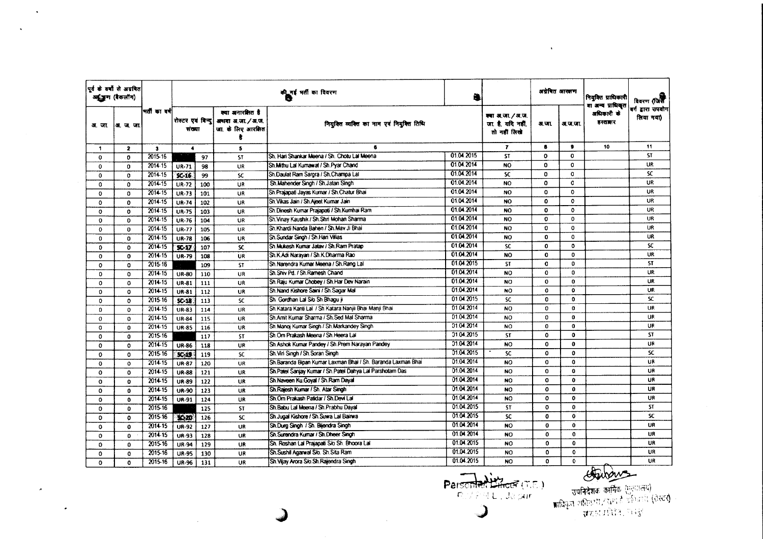|              | पूर्व के वर्षों से अग्रवित<br>अनुजूण (रैकलॉग) |              |                            |     |                                                            | की गई भर्ती का विवरण<br>वि                                    | 4          |                                                     | अग्रेषित आरतण |              | नियुक्ति प्राधिकारी<br>वा अन्य प्राधिकृत | विवरण (जिस                     |
|--------------|-----------------------------------------------|--------------|----------------------------|-----|------------------------------------------------------------|---------------------------------------------------------------|------------|-----------------------------------------------------|---------------|--------------|------------------------------------------|--------------------------------|
| अज्ञा        | अ.ज.ज.                                        | मती का वर्ष  | रोस्टर एवं विन्द<br>संख्या |     | क्या अनारमित है<br>अथवा अ.जा. / अ.ज.<br>जा. के लिए आरक्षित | नियुक्ति व्यक्ति का नाम एवं नियुक्ति तिथि                     |            | क्या अ.जा./अ.ज.<br>जा है, यदि नहीं,<br>तो नहीं लिखे | अ.जा.         | अ.ज.ज.       | अधिकारी के<br>डस्तालर                    | बर्ग द्वारा उपयोग<br>लिया गया) |
| 1            | $\overline{\mathbf{2}}$                       | $\mathbf{3}$ | $\blacktriangleleft$       |     | $\mathbf{5}$                                               | 6                                                             |            | $\mathbf{r}$                                        | $\bullet$     | ٠            | 10                                       | 11                             |
| $\mathbf 0$  | $\mathbf 0$                                   | 2015-16      |                            | 97  | <b>ST</b>                                                  | Sh. Hari Shankar Meena / Sh. Chotu Lal Meena                  | 01.04.2015 | <b>ST</b>                                           | $\mathbf{o}$  | $\mathbf 0$  |                                          | <b>ST</b>                      |
| 0            | $\Omega$                                      | 2014.15      | UR-71                      | 98  | UR                                                         | Sh.Mithu Lai Kumawat / Sh.Pyar Chand                          | 01.04.2014 | NO                                                  | $\Omega$      | $\Omega$     |                                          | UR.                            |
| 0            | $\mathbf 0$                                   | 2014-15      | $SC-16$                    | 99  | <b>SC</b>                                                  | Sh.Daulat Ram Sargra / Sh.Champa Lal                          | 01.04.2014 | <b>SC</b>                                           | 0             | $\circ$      |                                          | SC.                            |
| 0            | 0                                             | $2014 - 15$  | UR-72                      | 100 | UR                                                         | Sh.Mahender Singh / Sh.Jatan Singh                            | 01.04.2014 | <b>NO</b>                                           | $\Omega$      | $\mathbf 0$  |                                          | <b>UR</b>                      |
| O            | 0                                             | 201415       | <b>UR-73</b>               | 101 | UR                                                         | Sh.Prajapati Jayas Kumar / Sh.Chatur Bhai                     | 01.04.2014 | NO                                                  | 0             | $\Omega$     |                                          | UR.                            |
| $\mathbf 0$  | $\mathbf 0$                                   | $2014 - 15$  | <b>UR-74</b>               | 102 | <b>UR</b>                                                  | Sh. Vikas Jain / Sh. Ajeet Kumar Jain                         | 01.04.2014 | <b>NO</b>                                           | $\mathbf{0}$  | $\mathbf{o}$ |                                          | UR.                            |
| $\mathbf 0$  | $\mathbf{0}$                                  | $2014 - 15$  | <b>UR-75</b>               | 103 | <b>UR</b>                                                  | Sh Dinesh Kumar Prajapati / Sh Kumhai Ram                     | 01.04.2014 | <b>NO</b>                                           | $\Omega$      | $\mathbf{o}$ |                                          | UR.                            |
| $\mathbf 0$  | 0                                             | 2014-15      | UR-76                      | 104 | UR.                                                        | Sh. Vinay Kaushik / Sh. Shri Mohan Sharma                     | 01.04.2014 | <b>NO</b>                                           | $\Omega$      | $\mathbf{O}$ |                                          | UR.                            |
| $\mathbf 0$  | $\mathbf 0$                                   | 2014-15      | <b>UR-77</b>               | 105 | <b>UR</b>                                                  | Sh.Khardi Nanda Bahen / Sh.Mav Ji Bhai                        | 01.04.2014 | <b>NO</b>                                           | 0             | $\circ$      |                                          | UR.                            |
| $\mathbf 0$  | $\Omega$                                      | 2014-15      | <b>UR-78</b>               | 106 | <b>UR</b>                                                  | Sh.Sundar Singh / Sh.Hari Villas                              | 01.04.2014 | <b>NO</b>                                           | $\Omega$      | $\mathbf{o}$ |                                          | UR                             |
| 0            | $\mathbf 0$                                   | 2014.15      | $SC-17$                    | 107 | SC.                                                        | Sh. Mukesh Kumar Jatav / Sh. Ram Pratap                       | 01.04.2014 | <b>SC</b>                                           | $\mathbf{0}$  | $\mathbf 0$  |                                          | SC.                            |
| $\mathbf 0$  | $\mathbf 0$                                   | $2014 - 15$  | <b>UR-79</b>               | 108 | <b>UR</b>                                                  | Sh.K.Adi Narayan / Sh.K.Dharma Rao                            | 01.04.2014 | <b>NO</b>                                           | $\mathbf{0}$  | $\mathbf{0}$ |                                          | UR                             |
| $\mathbf{o}$ | $\Omega$                                      | $2015 - 16$  |                            | 109 | <b>ST</b>                                                  | Sh.Narendra Kumar Meena / Sh.Rang Lal                         | 01.04.2015 | <b>ST</b>                                           | $\mathbf{0}$  | $\Omega$     |                                          | <b>ST</b>                      |
| $\circ$      | o                                             | 2014-15      | <b>UR-80</b>               | 110 | UR                                                         | Sh.Shiv Pd. / Sh.Ramesh Chand                                 | 01.04.2014 | <b>NO</b>                                           | 0             | 0            |                                          | UR.                            |
| 0            | 0                                             | 2014-15      | UR-81                      | 111 | UR                                                         | Sh. Raju Kumar Chobey / Sh. Har Dev Narain                    | 01.04.2014 | <b>NO</b>                                           | $\mathbf{O}$  | $\mathbf 0$  |                                          | UR.                            |
| $\mathbf 0$  | 0                                             | 2014-15      | UR-81                      | 112 | <b>UR</b>                                                  | Sh.Nand Kishore Saini / Sh.Sagar Mal                          | 01.04.2014 | NO.                                                 | $\mathbf{o}$  | $\mathbf 0$  |                                          | UR                             |
| 0            | $\mathbf 0$                                   | 2015-16      | $SC-18$                    | 113 | SC.                                                        | Sh. Gordhan Lal S/o Sh. Bhagu ji                              | 01.04.2015 | <b>SC</b>                                           | $\mathbf{0}$  | $\mathbf{0}$ |                                          | SC.                            |
| 0            | $\Omega$                                      | $2014 - 15$  | <b>UR-83</b>               | 114 | UR                                                         | Sh.Katara Kanti Lal / Sh.Katara Nanjii Bhai Manji Bhai        | 01.04.2014 | NO.                                                 | 0             | 0            |                                          | UR.                            |
| $\Omega$     | $\Omega$                                      | $2014 - 15$  | <b>UR-84</b>               | 115 | UR                                                         | Sh Amit Kumar Sharma / Sh. Sed Mal Sharma                     | 01.04.2014 | NO.                                                 | 0             | $\mathbf{0}$ |                                          | UR.                            |
| O            | $\mathbf{0}$                                  | 2014-15      | <b>UR-85</b>               | 116 | UR                                                         | Sh.Manoj Kumar Singh / Sh.Markandey Singh                     | 01.04.2014 | <b>NO</b>                                           | 0             | 0            |                                          | UR                             |
| $\bf{0}$     | $\mathbf 0$                                   | 2015-16      |                            | 117 | ST                                                         | Sh.Om Prakash Meena / Sh.Heera Lal                            | 01.04.2015 | <b>ST</b>                                           | 0             | $\mathbf 0$  |                                          | <b>ST</b>                      |
| $\mathbf{o}$ | $\Omega$                                      | 2014-15      | <b>UR-86</b>               | 118 | <b>UR</b>                                                  | Sh.Ashok Kumar Pandey / Sh.Prem Narayan Pandey                | 01.04.2014 | <b>NO</b>                                           | 0             | $\mathbf{0}$ |                                          | UR                             |
| 0            | 0                                             | 2015-16      | $SC-19$                    | 119 | SC.                                                        | Sh. Viri Singh / Sh. Soran Singh                              | 01.04.2015 | <b>SC</b>                                           | 0             | $\mathbf{0}$ |                                          | SC                             |
| $\mathbf{o}$ | $\circ$                                       | 2014.15      | UR-87                      | 120 | <b>UR</b>                                                  | Sh. Baranda Bipan Kumar Laxman Bhai / Sh. Baranda Laxman Bhai | 01.04.2014 | <b>NO</b>                                           | $\mathbf{0}$  | $\mathbf 0$  |                                          | UR                             |
| $\mathbf o$  | $\Omega$                                      | 2014-15      | <b>UR-88</b>               | 121 | <b>UR</b>                                                  | Sh.Patel Sanjay Kumar / Sh.Patel Dahya Lal Parshotam Das      | 01.04.2014 | NO.                                                 | 0             | $\bf{0}$     |                                          | UR                             |
| 0            | $\mathbf 0$                                   | 2014-15      | UR-89                      | 122 | <b>UR</b>                                                  | Sh Naveen Ku Goyal / Sh Ram Dayal                             | 01.04.2014 | NO.                                                 | $\mathbf{o}$  | $\mathbf{o}$ |                                          | UR                             |
| $\mathbf 0$  | 0                                             | 2014-15      | <b>UR-90</b>               | 123 | UR                                                         | Sh.Rajesh Kumar / Sh. Atar Singh                              | 01.04.2014 | <b>NO</b>                                           | $\bullet$     | $\mathbf 0$  |                                          | UR                             |
| $\mathbf{o}$ | $\Omega$                                      | 2014-15      | UR-91                      | 124 | UR                                                         | Sh.Om Prakash Patidar / Sh.Devi Lal                           | 01.04.2014 | <b>NO</b>                                           | $\Omega$      | $\mathbf{0}$ |                                          | UR                             |
| 0            | $\Omega$                                      | 2015-16      |                            | 125 | <b>ST</b>                                                  | Sh.Babu Lal Meena / Sh.Prabhu Dayal                           | 01.04.2015 | <b>ST</b>                                           | $\mathbf{O}$  | $\mathbf{0}$ |                                          | <b>ST</b>                      |
| O            | $\mathbf{o}$                                  | 2015-16      | $\mathbf{V}(\cdot)$        | 126 | <b>SC</b>                                                  | Sh Jugal Kishore / Sh Suwa Lal Bairwa                         | 01.04.2015 | SC.                                                 | $\mathbf{0}$  | $\mathbf{0}$ |                                          | SC.                            |
| O            | $\mathbf{o}$                                  | 2014-15      | <b>UR-92</b>               | 127 | UR                                                         | Sh.Durg Singh / Sh. Bijendra Singh                            | 01.04.2014 | <b>NO</b>                                           | $\mathbf{0}$  | $\mathbf{0}$ |                                          | UR                             |
| $\mathbf{o}$ | $\Omega$                                      | 2014.15      | <b>UR-93</b>               | 128 | UR                                                         | Sh.Surendra Kumar / Sh.Dheer Singh                            | 01.04.2014 | <b>NO</b>                                           | $\mathbf{0}$  | 0            |                                          | UR                             |
| 0            | 0                                             | 2015-16      | <b>UR-94</b>               | 129 | UR                                                         | Sh. Roshan Lal Prajapati S/o Sh. Bhoora Lal                   | 01.04.2015 | NO                                                  | $\mathbf 0$   | 0            |                                          | UR                             |
| 0            | $\Omega$                                      | 2015-16      | <b>UR-95</b>               | 130 | UR                                                         | Sh.Sushil Agarwal S/o. Sh.Sita Ram                            | 01.04.2015 | <b>NO</b>                                           | 0             | 0            |                                          | <b>UR</b>                      |
| $\Omega$     | $\Omega$                                      | 2015-16      | <b>UR-96</b>               | 131 | <b>UR</b>                                                  | Sh Vijay Arora S/o Sh Rajendra Singh                          | 01.04.2015 | <b>NO</b>                                           | 0             | 0            |                                          | <b>UR</b>                      |

 $\sim$ 

 $\mathbf{v}$ 

 $\mathcal{A}$ 

 $\bullet$ 

 $\ddot{\phantom{a}}$ 

Personnel Lincor (T.E.)  $\overline{\phantom{0}}$ 

 $\sim 100$ 

and Company of the Company of the Company of the Company (1983)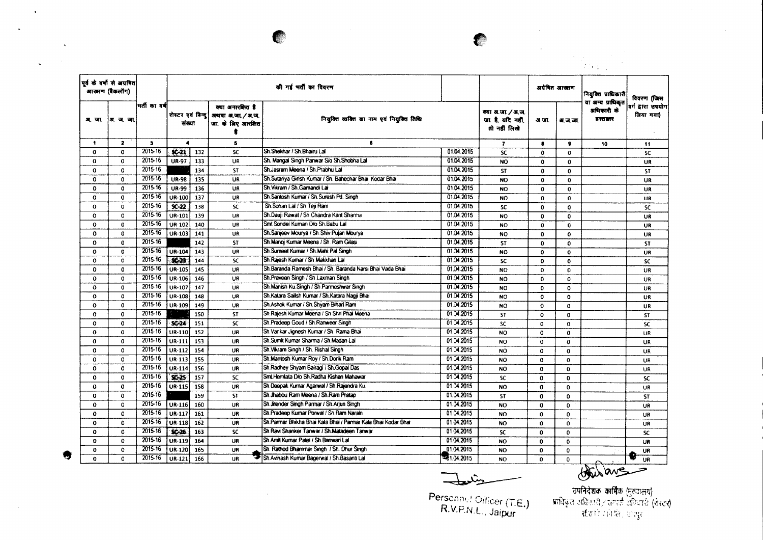

 $\sim 100$  km s  $^{-1}$ 

 $\sim 10^{-11}$ 

|                      |                                             |                                                                         |                      |     |                                                                                |                                                               |               |                                                       |              |                 | $\sim$                                     |                                               |
|----------------------|---------------------------------------------|-------------------------------------------------------------------------|----------------------|-----|--------------------------------------------------------------------------------|---------------------------------------------------------------|---------------|-------------------------------------------------------|--------------|-----------------|--------------------------------------------|-----------------------------------------------|
|                      | पूर्व के वर्षों से अग्रवित<br>आखाण (बैकलॉग) |                                                                         |                      |     |                                                                                | की गई भर्ती का विवरण                                          |               |                                                       |              | अग्रेषित आरक्षण | $2.73\leq z\leq 1$<br>नियुक्ति प्राधिकारी  |                                               |
| अ. जा.               | अ.ज.जा                                      | मती का वर्ष<br>$\mathbf{3}$<br>2015-16<br>2015-16<br>2015-16<br>2015-16 | संख्या               |     | क्या अनारक्षित है<br>रोस्टर एवं बिन्दु   अधवा अ.जा. / अ.ज.<br>जा. के लिए आरमित | नियुक्ति व्यक्ति का नाम एवं नियुक्ति तिथि                     |               | क्या अ.जा. / अ.ज.<br>जा है, यदि नहीं,<br>तो नहीं लिखे | अ.जा.        | अ.ज.जा          | या अन्य प्राधिकृत<br>अधिकारी के<br>हस्तालर | विवरण (जिस<br>वर्ग द्वारा उपयोग <br>लिया गया) |
| $\ddot{\phantom{1}}$ | $\overline{\mathbf{2}}$                     |                                                                         | $\blacktriangleleft$ |     | 5                                                                              | 6                                                             |               | $\overline{\mathbf{r}}$                               | $\bullet$    | 8               | 10                                         | 11                                            |
| 0                    | $\mathbf{o}$                                |                                                                         | $96-21$              | 132 | <b>SC</b>                                                                      | Sh. Shekhar / Sh. Bhairu Lal                                  | 01.04.2015    | <b>SC</b>                                             | $\Omega$     | $\Omega$        |                                            | <b>SC</b>                                     |
| $\bf{0}$             | O                                           |                                                                         | <b>UR-97</b>         | 133 | UR                                                                             | Sh. Mangal Singh Panwar S/o Sh. Shobha Lal                    | 01.04.2015    | <b>NO</b>                                             | $\mathbf 0$  | 0               |                                            | UR.                                           |
| o                    | $\mathbf{o}$                                |                                                                         |                      | 134 | <b>ST</b>                                                                      | Sh.Jasram Meena / Sh.Prabhu Lal                               | 01.04.2015    | <b>ST</b>                                             | $\mathbf{o}$ | $\mathbf{o}$    |                                            | <b>ST</b>                                     |
| O                    | $\Omega$                                    |                                                                         | <b>UR-98</b>         | 135 | UR                                                                             | Sh.Sutariya Girish Kumar / Sh. Bahechar Bhai Kodar Bhai       | 01.04.2015    | <b>NO</b>                                             | $\mathbf 0$  | 0               |                                            | UR                                            |
| 0                    | 0                                           | 2015-16                                                                 | <b>UR-99</b>         | 136 | UR                                                                             | Sh. Vikram / Sh. Gamandi Lai                                  | 01.04.2015    | <b>NO</b>                                             | $\mathbf o$  | 0               |                                            | <b>UR</b>                                     |
| $\mathbf{o}$         | $\mathbf 0$                                 | 2015-16                                                                 | UR-100               | 137 | <b>UR</b>                                                                      | Sh Santosh Kumar / Sh Suresh Pd. Singh                        | 01.04.2015    | <b>NO</b>                                             | $\Omega$     | 0               |                                            | UR                                            |
| $\mathbf{o}$         | 0                                           | 2015-16                                                                 | $SC-22$              | 138 | <b>SC</b>                                                                      | Sh.Sohan Lal / Sh.Teji Ram                                    | 01.04.2015    | <b>SC</b>                                             | $\mathbf 0$  | 0               |                                            | <b>SC</b>                                     |
| $\Omega$             | $\Omega$                                    | 2015-16                                                                 | <b>UR-101</b>        | 139 | UR                                                                             | Sh.Dauji Rawat / Sh.Chandra Kant Sharma                       | 01.04.2015    | <b>NO</b>                                             | $\Omega$     | 0               |                                            | UR                                            |
| $\mathbf{o}$         | $\bf{0}$                                    | 2015-16                                                                 | UR-102               | 140 | UR                                                                             | Smt Sondei Kumari D/o Sh.Babu Lal                             | 01.04.2015    | <b>NO</b>                                             | $\mathbf o$  | 0               |                                            | <b>UR</b>                                     |
| 0                    | $\mathbf{0}$                                | 2015-16                                                                 | UR-103               | 141 | UR                                                                             | Sh.Sanjeev Mourya / Sh.Shiv Pujan Mourya                      | 01.04.2015    | <b>NO</b>                                             | $\mathbf{o}$ | $\mathbf{o}$    |                                            | <b>UR</b>                                     |
| $\mathbf 0$          | $\mathbf{0}$                                | 2015-16                                                                 |                      | 142 | <b>ST</b>                                                                      | Sh Manoj Kumar Meena / Sh. Ram Gilasi                         | 01:04.2015    | <b>ST</b>                                             | $\mathbf 0$  | $\mathbf{o}$    |                                            | <b>ST</b>                                     |
| $\mathbf o$          | 0                                           | 2015-16                                                                 | <b>UR-104</b>        | 143 | <b>UR</b>                                                                      | Sh Sumeet Kumar / Sh. Mahi Pal Singh                          | 01.34.2015    | NO.                                                   | $\mathbf o$  | $\mathbf{o}$    |                                            | UR                                            |
| $\mathbf{o}$         | $\mathbf{o}$                                | 2015-16                                                                 | $36-23$              | 144 | SC.                                                                            | Sh Rajesh Kumar / Sh Makkhan Lal                              | 01.04.2015    | SC.                                                   | $\mathbf{o}$ | $\mathbf{0}$    |                                            | <b>SC</b>                                     |
| $\Omega$             | 0                                           | 2015-16                                                                 | UR-105               | 145 | UR                                                                             | Sh Baranda Ramesh Bhai / Sh. Baranda Narsi Bhai Vada Bhai     | 01.04.2015    | <b>NO</b>                                             | $\mathbf{o}$ | $\mathbf 0$     |                                            | <b>UR</b>                                     |
| $\mathbf 0$          | $\mathbf 0$                                 | 2015-16                                                                 | UR-106               | 146 | <b>UR</b>                                                                      | Sh.Praveen Singh / Sh.Laxman Singh                            | 01.04.2015    | <b>NO</b>                                             | $\mathbf{o}$ | 0               |                                            | <b>UR</b>                                     |
| $\mathbf{o}$         | $\mathbf{o}$                                | 2015-16                                                                 | UR-107               | 147 | UR                                                                             | Sh Manish Ku Singh / Sh Parmeshwar Singh                      | 01:04.2015    | <b>NO</b>                                             | $\mathbf o$  | $\mathbf{o}$    |                                            | <b>UR</b>                                     |
| O                    | $\mathbf{o}$                                | 2015-16                                                                 | UR-108               | 148 | UR                                                                             | Sh.Katara Sailsh Kumar / Sh.Katara Nagji Bhai                 | 01.04.2015    | <b>NO</b>                                             | 0            | $\mathbf{o}$    |                                            | <b>UR</b>                                     |
| 0                    | $\mathbf{o}$                                | 2015-16                                                                 | UR-109               | 149 | <b>UR</b>                                                                      | Sh.Ashok Kumar / Sh.Shyam Bihari Ram                          | 01.34.2015    | NO.                                                   | 0            | $\Omega$        |                                            | UR                                            |
| $\mathbf{o}$         | $\mathbf 0$                                 | 2015-16                                                                 |                      | 150 | <b>ST</b>                                                                      | Sh. Rajesh Kumar Meena / Sh. Shri Phal Meena                  | 01.34.2015    | ST                                                    | $\mathbf{o}$ | $\mathbf 0$     |                                            | <b>ST</b>                                     |
| $\mathbf o$          | $\mathbf o$                                 | 2015-16                                                                 | SC-24                | 151 | <b>SC</b>                                                                      | Sh.Pradeep Goud / Sh.Ranweer Singh                            | 01:34.2015    | <b>SC</b>                                             | $\mathbf 0$  | $\mathbf 0$     |                                            | <b>SC</b>                                     |
| $\mathbf{o}$         | $\mathbf o$                                 | 2015-16                                                                 | $UR-110$             | 152 | UR                                                                             | Sh Vankar Jignesh Kumar / Sh. Rama Bhai                       | 01:04.2015    | <b>NO</b>                                             | $\Omega$     | $\mathbf{0}$    |                                            | UR                                            |
| $\bf{0}$             | $\mathbf 0$                                 | $2015 - 16$                                                             | UR-111               | 153 | UR                                                                             | Sh.Sumit Kumar Sharma / Sh.Madan Lai                          | 01.04.2015    | <b>NO</b>                                             | $\mathbf o$  | $\mathbf 0$     |                                            | <b>UR</b>                                     |
| $\mathbf 0$          | 0                                           | 2015-16                                                                 | UR-112               | 154 | UR                                                                             | Sh. Vikram Singh / Sh. Rishal Singh                           | 01.04.2015    | NO                                                    | $\mathbf 0$  | $\Omega$        |                                            | <b>UR</b>                                     |
| $\Omega$             | $\mathbf 0$                                 | 2015-16                                                                 | UR-113               | 155 | <b>UR</b>                                                                      | Sh.Mantosh Kumar Roy / Sh.Dorik Ram                           | 01.04.2015    | <b>NO</b>                                             | 0            | $\mathbf 0$     |                                            | <b>UR</b>                                     |
| 0                    | $\mathbf o$                                 | 2015-16                                                                 | UR-114               | 156 | UR                                                                             | Sh.Radhey Shyam Bairagi / Sh.Gopal Das                        | 01.04.2015    | <b>NO</b>                                             | $\mathbf{o}$ | $\mathbf{0}$    |                                            | UR                                            |
| 0                    | $\mathbf{o}$                                | 2015-16                                                                 | $x - 25$             | 157 | <b>SC</b>                                                                      | Smt Hemlata D/o Sh.Radha Kishan Mahawar                       | 01.04.2015    | <b>SC</b>                                             | $\mathbf 0$  | 0               |                                            | <b>SC</b>                                     |
| 0                    | $\mathbf o$                                 | 2015-16                                                                 | UR-115               | 158 | <b>UR</b>                                                                      | Sh.Deepak Kumar Agarwal / Sh.Rajendra Ku.                     | 01.04.2015    | <b>NO</b>                                             | $\mathbf 0$  | $\mathbf 0$     |                                            | UR                                            |
| 0                    | 0                                           | 2015-16                                                                 |                      | 159 | <b>ST</b>                                                                      | Sh.Jhabbu Ram Meena / Sh.Ram Pratao                           | 01.04.2015    | <b>ST</b>                                             | $\mathbf{o}$ | $\Omega$        |                                            | <b>ST</b>                                     |
| $\mathbf{o}$         | 0                                           | 2015-16                                                                 | UR-116               | 160 | UR                                                                             | Sh. Jitender Singh Parmar / Sh. Arjun Singh                   | 01.04.2015    | <b>NO</b>                                             | $\mathbf 0$  | 0               |                                            | <b>UR</b>                                     |
| $\mathbf{o}$         | 0                                           | 2015-16                                                                 | UR-117               | 161 | <b>UR</b>                                                                      | Sh.Pradeep Kumar Porwal / Sh.Ram Narain                       | 01.04.2015    | <b>NO</b>                                             | $\mathbf{o}$ | 0               |                                            | UR                                            |
| $\Omega$             | $\mathbf{0}$                                | 2015-16                                                                 | UR-118               | 162 | <b>UR</b>                                                                      | Sh.Parmar Bhikha Bhai Kala Bhai / Parmar Kala Bhai Kodar Bhai | 01.04.2015    | <b>NO</b>                                             | $\bf{0}$     | $\mathbf{o}$    |                                            | <b>UR</b>                                     |
| 0                    | 0                                           | 2015-16                                                                 | SC-26                | 163 | SC.                                                                            | Sh. Ravi Shanker Tanwar / Sh. Matadeen Tanwar                 | 01.04.2015    | <b>SC</b>                                             | $\mathbf{o}$ | $\mathbf{o}$    |                                            | <b>SC</b>                                     |
| $\mathbf{o}$         | 0                                           | 2015-16                                                                 | UR-119               | 164 | <b>UR</b>                                                                      | Sh.Amit Kumar Patel / Sh Banwari Lal                          | 01.04.2015    | NO                                                    | $\bullet$    | $\bullet$       |                                            | UR                                            |
| 0                    | 0                                           | 2015-16                                                                 | <b>UR-120</b>        | 165 | UR                                                                             | Sh. Rathod Bhammar Singh / Sh. Dhur Singh                     | 01.04.2015    | NO.                                                   | 0            | $\mathbf{o}$    |                                            |                                               |
| $\mathbf 0$          | o                                           | 2015-16                                                                 | UR-121               | 166 | <b>UR</b>                                                                      | Sh.Avinash Kumar Bagerwal / Sh.Basanti Lai                    | $= 1.04.2015$ | NO.                                                   | 0            | $\mathbf{O}$    |                                            | UR<br><b>UR</b>                               |
|                      |                                             |                                                                         |                      |     |                                                                                |                                                               |               |                                                       |              |                 |                                            | this are                                      |

حند ک

Personnel Officer (T.E.)<br>R.V.P.N.L., Jaipur

्<br>उपनिदेशक कार्मिक (मुख्यालय)<br>अधिकृत शक्तिगरी / समार्क इंग्लिगरी (सेस्टर)<br>- संस्थाने प्रानिन्दि, अन्युर

秀

 $\sim 10^6$ 

 $\ddot{\phantom{a}}$ 

 $\mathcal{L}^{\mathcal{L}}(\mathbf{X})$  . The  $\mathcal{L}^{\mathcal{L}}(\mathbf{X})$ 

 $\frac{1}{\sqrt{2}}\left( \frac{1}{\sqrt{2}}\right) \left( \frac{1}{\sqrt{2}}\right)$ 

 $\mathbf{A}$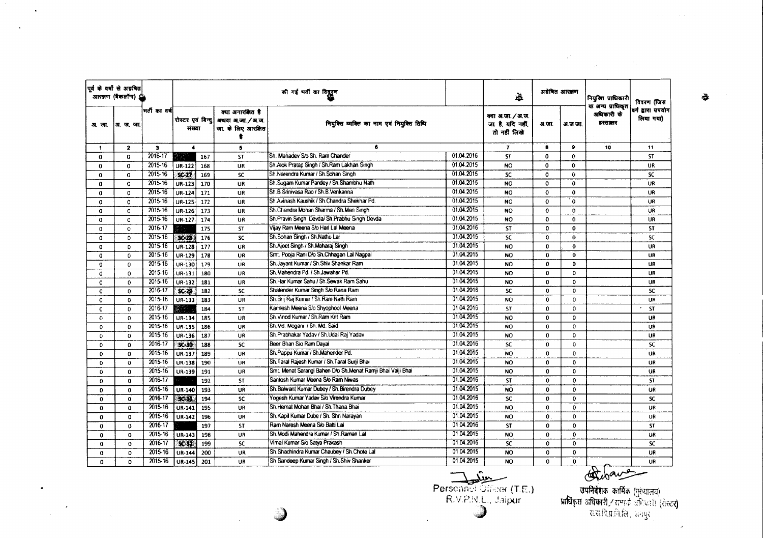| पूर्व के वर्षों से अग्रबित<br>आरक्षण (बैकलॉग) ⊈ |          |              |               |                              |     |                                                            | की गई भर्ती का विद्गुरूण                                     |            | 墓                                                      | अग्रेषित आरक्षण |              | नियुक्ति प्राधिकारी<br>या अन्य प्राधिकृत | विवरण (जिस                     |
|-------------------------------------------------|----------|--------------|---------------|------------------------------|-----|------------------------------------------------------------|--------------------------------------------------------------|------------|--------------------------------------------------------|-----------------|--------------|------------------------------------------|--------------------------------|
| अ.जा.                                           | अ. ज. जा |              | भर्ती का वर्ष | रोस्टर एवं विन्दु <br>संख्या |     | क्या अनारसित है<br>अथवा अ.जा. / अ.ज.<br>जा. के लिए आरक्षित | नियुक्ति व्यक्ति का नाम एवं नियुक्ति तिथि                    |            | क्या अ.जा. / अ.ज.<br>जा. है. यदि नहीं,<br>तो नहीं लिखे | अ.जा.           | अ.ज.जा.      | अधिकारी के<br>हस्तातार                   | वर्ग द्वारा उपयोग<br>लिया गया) |
| $\mathbf{1}$                                    |          | 2            | з             | $\blacktriangleleft$         |     | 5                                                          | 6                                                            |            | $\mathbf{7}$                                           | 8               | 9            | 10                                       | 11                             |
| $\Omega$                                        |          | $\Omega$     | 2016-17       |                              | 167 | <b>ST</b>                                                  | Sh. Mahadev S/o Sh. Ram Chander                              | 01.04.2016 | <b>ST</b>                                              | $\Omega$        | $\mathbf{0}$ |                                          | <b>ST</b>                      |
| $\Omega$                                        |          | $\Omega$     | 2015-16       | $UR-122$                     | 168 | <b>UR</b>                                                  | Sh.Alok Pratap Singh / Sh.Ram Lakhan Singh                   | 01.04.2015 | <b>NO</b>                                              | $\mathbf 0$     | $\Omega$     |                                          | <b>UR</b>                      |
| 0                                               |          | $\mathbf 0$  | 2015-16       | $SC-27$                      | 169 | <b>SC</b>                                                  | Sh.Narendra Kumar / Sh.Sohan Singh                           | 01.04.2015 | <b>SC</b>                                              | $\Omega$        | $\mathbf{0}$ |                                          | <b>SC</b>                      |
| 0                                               |          | $\mathbf{o}$ | 2015-16       | UR-123                       | 170 | UR                                                         | Sh. Sugam Kumar Pandey / Sh. Shambhu Nath                    | 01.04.2015 | <b>NO</b>                                              | $\circ$         | $\mathbf{0}$ |                                          | UR                             |
| $\Omega$                                        |          | $\mathbf 0$  | 2015-16       | UR-124                       | 171 | UR                                                         | Sh.B.Srinivasa Rao / Sh.B.Venkanna                           | 01.04.2015 | <b>NO</b>                                              | $\bf{0}$        | $\mathbf{0}$ |                                          | <b>UR</b>                      |
| 0                                               |          | $\mathbf 0$  | 2015-16       | <b>UR-125</b>                | 172 | UR                                                         | Sh Avinash Kaushik / Sh Chandra Shekhar Pd.                  | 01.04.2015 | NO <sub>1</sub>                                        | $\Omega$        | $\mathbf{o}$ |                                          | UR                             |
| 0                                               |          | 0            | 2015-16       | UR-126                       | 173 | UR                                                         | Sh.Chandra Mohan Sharma / Sh.Man Singh                       | 01.04.2015 | <b>NO</b>                                              | $\mathbf 0$     | $\mathbf{0}$ |                                          | UR                             |
| 0                                               |          | 0            | 2015-16       | UR-127                       | 174 | UR                                                         | Sh.Pravin Singh Devda/ Sh.Prabhu Singh Devda                 | 01.04.2015 | <b>NO</b>                                              | $\Omega$        | 0            |                                          | UR                             |
| $\Omega$                                        |          | $\Omega$     | 2016-17       |                              | 175 | <b>ST</b>                                                  | Vijay Ram Meena S/o Hari Lal Meena                           | 01.04.2016 | <b>ST</b>                                              | $\Omega$        | $\mathbf{0}$ |                                          | <b>ST</b>                      |
| $\mathbf{0}$                                    |          | $\mathbf 0$  | 2015-16       | x <sub>2</sub>               | 176 | SC                                                         | Sh.Sohan Singh / Sh.Nathu Lal                                | 01.04.2015 | SC                                                     | $\Omega$        | $\bf{0}$     |                                          | SC                             |
| $\mathbf{0}$                                    |          | o            | 2015-16       | UR-128                       | 177 | UR                                                         | Sh.Ajeet Singh / Sh.Maharaj Singh                            | 01.04.2015 | NO                                                     | 0               | $\mathbf{0}$ |                                          | UR                             |
| 0                                               |          | 0            | 2015-16       | UR-129                       | 178 | <b>UR</b>                                                  | Smt. Pooja Rani D/o Sh.Chhagan Lai Nagpal                    | 01.04.2015 | <b>NO</b>                                              | $\bf{0}$        | 0            |                                          | <b>UR</b>                      |
| $\Omega$                                        |          | $\Omega$     | 2015-16       | <b>UR-130</b>                | 179 | UR                                                         | Sh Jayant Kumar / Sh Shiv Shankar Ram                        | 01.04.2015 | NO.                                                    | $\Omega$        | $\mathbf{0}$ |                                          | UR                             |
| O                                               |          | $\Omega$     | 2015-16       | UR-131                       | 180 | UR                                                         | Sh.Mahendra Pd. / Sh.Jawahar Pd.                             | 01.04.2015 | <b>NO</b>                                              | $\Omega$        | $\Omega$     |                                          | UR                             |
| $\mathbf 0$                                     |          | $\Omega$     | 2015-16       | UR-132                       | 181 | UR                                                         | Sh.Har Kumar Sahu / Sh.Sewak Ram Sahu                        | 01.04.2015 | <b>NO</b>                                              | 0               | $\mathbf{0}$ |                                          | UR.                            |
| $\mathbf 0$                                     |          | $\mathbf 0$  | 2016-17       | $SC-29$                      | 182 | SC                                                         | Shalender Kumar Singh S/o Rana Ram                           | 01.04.2016 | <b>SC</b>                                              | $\mathbf 0$     | $\mathbf{0}$ |                                          | SC.                            |
| $\Omega$                                        |          | $\Omega$     | 2015-16       | UR-133                       | 183 | UR                                                         | Sh. Brii Rai Kumar / Sh. Ram Nath Ram                        | 01.04.2015 | <b>NO</b>                                              | $\Omega$        | $\mathbf{0}$ |                                          | UR                             |
| $\mathbf 0$                                     |          | 0            | 2016-17       |                              | 184 | <b>ST</b>                                                  | Kamlesh Meena S/o Shyophool Meena                            | 01.04.2016 | ST                                                     | 0               | $\mathbf{0}$ |                                          | <b>ST</b><br>$\bullet$         |
| 0                                               |          | $\Omega$     | 2015-16       | UR-134                       | 185 | UR                                                         | Sh. Vinod Kumar / Sh. Ram Krit Ram                           | 01.04.2015 | <b>NO</b>                                              | $\Omega$        | $\mathbf{0}$ |                                          | <b>UR</b>                      |
| 0                                               |          | $\mathbf 0$  | 2015-16       | UR-135                       | 186 | UR                                                         | Sh.Md. Mogani / Sh. Md. Said                                 | 01.04.2015 | <b>NO</b>                                              | $\mathbf 0$     | $\bf{0}$     |                                          | UR                             |
| $\mathbf{0}$                                    |          | $\Omega$     | 2015-16       | UR-136                       | 187 | UR                                                         | Sh Prabhakar Yadav / Sh.Udai Raj Yadav                       | 01.04.2015 | NO <sub>1</sub>                                        | $\mathbf{0}$    | 0            |                                          | UR                             |
| $\Omega$                                        |          | $\Omega$     | 2016-17       | $50 - 10$                    | 188 | <b>SC</b>                                                  | Beer Bhan S/o Ram Dayal                                      | 01.04.2016 | <b>SC</b>                                              | $\Omega$        | $\mathbf{0}$ |                                          | SC.                            |
| $\mathbf 0$                                     |          | $\mathbf 0$  | 2015-16       | UR-137                       | 189 | <b>UR</b>                                                  | Sh.Pappu Kumar / Sh.Mahender Pd.                             | 01.04.2015 | NO <sub>1</sub>                                        | 0               | $\bf{0}$     |                                          | <b>UR</b>                      |
| 0                                               |          | $\Omega$     | 2015-16       | UR-138                       | 190 | <b>UR</b>                                                  | Sh. Taral Rajesh Kumar / Sh. Taral Suni Bhai                 | 01.04.2015 | NO.                                                    | $\mathbf 0$     | $\mathbf{0}$ |                                          | <b>UR</b>                      |
| 0                                               |          | $\Omega$     | 2015-16       | UR-139                       | 191 | UR                                                         | Smt. Menat Sarangi Bahen D/o Sh. Menat Ramji Bhai Valji Bhai | 01.04.2015 | NO.                                                    | 0               | $\bf{0}$     |                                          | <b>UR</b>                      |
| $\Omega$                                        |          | $\mathbf 0$  | 2016-17       |                              | 192 | ST                                                         | Santosh Kumar Meena S/o Ram Niwas                            | 01.04.2016 | <b>ST</b>                                              | $\Omega$        | $\mathbf{o}$ |                                          | <b>ST</b>                      |
| 0                                               |          | $\mathbf 0$  | 2015-16       | UR-140                       | 193 | UR                                                         | Sh.Balwant Kumar Dubey / Sh.Birendra Dubey                   | 01.04.2015 | <b>NO</b>                                              | $\mathbf{0}$    | 0            |                                          | <b>UR</b>                      |
| $\mathbf{o}$                                    |          | $\circ$      | 2016-17       | 32.31                        | 194 | <b>SC</b>                                                  | Yogesh Kumar Yadav S/o Virendra Kumar                        | 01.04.2016 | <b>SC</b>                                              | $\mathbf 0$     | $\mathbf{0}$ |                                          | SC.                            |
| $\mathbf 0$                                     |          | $\mathbf 0$  | 2015-16       | UR-141                       | 195 | UR                                                         | Sh.Hemat Mohan Bhai / Sh.Thana Bhai                          | 01.04.2015 | <b>NO</b>                                              | -0              | $\mathbf{0}$ |                                          | UR                             |
| 0                                               |          | 0            | 2015-16       | UR-142                       | 196 | UR                                                         | Sh.Kapil Kumar Dube / Sh. Shri Narayan                       | 01.04.2015 | NO.                                                    | $\mathbf 0$     | $\mathbf 0$  |                                          | UR.                            |
| $\Omega$                                        |          | 0            | 2016-17       |                              | 197 | <b>ST</b>                                                  | Ram Naresh Meena S/o Batti Lal                               | 01.04.2016 | <b>ST</b>                                              | $\mathbf 0$     | $\mathbf{0}$ |                                          | <b>ST</b>                      |
| $\mathbf 0$                                     |          | $\mathbf{o}$ | 2015-16       | UR-143                       | 198 | UR                                                         | Sh.Modi Mahendra Kumar / Sh.Raman Lal                        | 01.04.2015 | <b>NO</b>                                              | 0               | $\mathbf 0$  |                                          | UR                             |
| $\mathbf 0$                                     |          | $\mathbf{o}$ | 2016-17       | $9C - 32$                    | 199 | sc                                                         | Vimal Kumar S/o Satya Prakash                                | 01.04.2016 | <b>SC</b>                                              | $\mathbf 0$     | $\mathbf 0$  |                                          | SC.                            |
| $\mathbf 0$                                     |          | $\Omega$     | 2015-16       | UR-144                       | 200 | <b>UR</b>                                                  | Sh. Shachindra Kumar Chaubey / Sh. Chote Lal                 | 01.04.2015 | <b>NO</b>                                              | $\mathbf 0$     | $\mathbf{0}$ |                                          | UR                             |
| $\Omega$                                        |          | 0            | 2015-16       | <b>UR-145</b>                | 201 | <b>UR</b>                                                  | Sh. Sandeep Kumar Singh / Sh. Shiv Shanker                   | 01.04.2015 | <b>NO</b>                                              | $\Omega$        | $\mathbf{0}$ |                                          | UR                             |
|                                                 |          |              |               |                              |     |                                                            |                                                              | India      |                                                        |                 |              | are                                      |                                |

 $\sim$ 

 $\sim$ 

 $\bullet$ 

 $\label{eq:2} \frac{d}{dt} \left( \frac{d}{dt} \right) = \frac{d}{dt} \left( \frac{d}{dt} \right)$ 

 $\mathbf{v}$ 

 $\frac{1}{2}$ 

 $\Delta$  ,  $\Delta$  ,  $\Delta$  ,  $\Delta$  ,  $\Delta$  ,  $\Delta$  ,  $\Delta$ 

 $\label{eq:2.1} \frac{1}{\sqrt{2\pi}}\frac{1}{\sqrt{2\pi}}\sum_{\alpha\in\mathbb{Z}}\frac{1}{\sqrt{2\pi}}\sum_{\alpha\in\mathbb{Z}}\frac{1}{\sqrt{2\pi}}\sum_{\alpha\in\mathbb{Z}}\frac{1}{\sqrt{2\pi}}\sum_{\alpha\in\mathbb{Z}}\frac{1}{\sqrt{2\pi}}\sum_{\alpha\in\mathbb{Z}}\frac{1}{\sqrt{2\pi}}\sum_{\alpha\in\mathbb{Z}}\frac{1}{\sqrt{2\pi}}\sum_{\alpha\in\mathbb{Z}}\frac{1}{\sqrt{2\pi}}\sum_{\alpha\in\mathbb{Z$ 

Personnel Officer (T.E.)<br>R.V.P.N.L., Jaipur  $\bigcirc$ 

्<br>**उपनिवेशक कार्मिक** (मुख्यालय)<br>प्राधिकृत अधिकारी / राम्पर्क अधिकारी (सेस्टर)<br>- राज्ञाविज्ञानिर्तित, अयपुर

 $\mathcal{L}$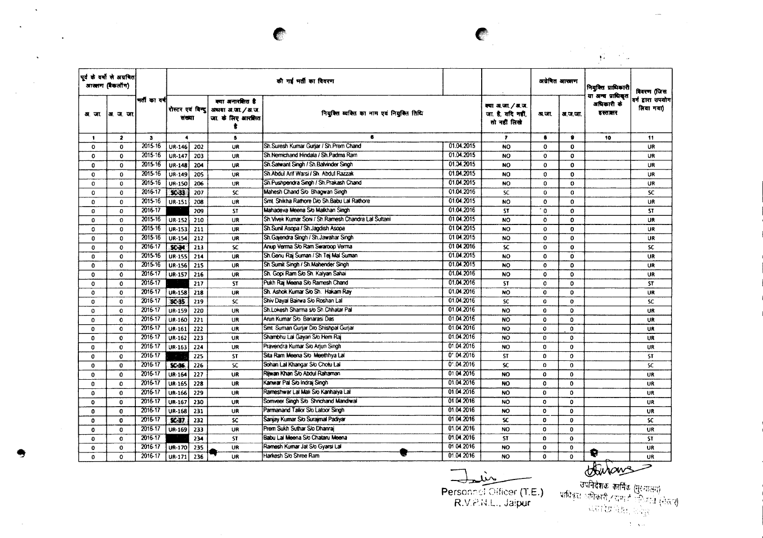|              |                                               |              |                             |     |                                                                 |                                                     |            |                                                        |              | $\sim$          | $\sqrt{2}$            |                                                                                                                                                                                                                                                                                                                                              |
|--------------|-----------------------------------------------|--------------|-----------------------------|-----|-----------------------------------------------------------------|-----------------------------------------------------|------------|--------------------------------------------------------|--------------|-----------------|-----------------------|----------------------------------------------------------------------------------------------------------------------------------------------------------------------------------------------------------------------------------------------------------------------------------------------------------------------------------------------|
|              | पूर्व के वर्षों से अग्रवित<br>आखाण (बैंकलॉंग) |              |                             |     |                                                                 | की गई भर्ती का विवरण                                |            |                                                        |              | अग्रेषित आरक्षण | नियुक्ति प्राधिकारी   | विवरण (जिस                                                                                                                                                                                                                                                                                                                                   |
|              | अर. जा.  अर. ज. जा.                           | मती का वर्ष  | रोस्टर एवं विन्द <br>संख्या |     | क्या अनारशित है<br>अधवा अ.जा. / अ.ज.<br>जा. के लिए आरक्षित<br>* | नियुक्ति व्यक्ति का नाम एवं नियुक्ति तिथि           |            | क्या अ.जा. / अ.ज.<br>जा. है, यदि नहीं,<br>तो नहीं लिखे | अ.जा.        | अ.ज.जा.         | अधिकारी के<br>हस्तातर | $\sim$<br>या अन्य प्राधिकृत<br>वर्ग द्वारा उपयोग<br>लिया गया)<br>10<br>11<br>UR<br>UR<br>UR<br>UR<br><b>UR</b><br>SC<br><b>UR</b><br><b>ST</b><br>UR<br>UR<br>UR<br>sc<br>UR<br>UR<br>UR<br><b>ST</b><br>UR<br>SC<br><b>UR</b><br>UR.<br><b>UR</b><br>UR<br>UR<br><b>ST</b><br><b>SC</b><br><b>UR</b><br><b>UR</b><br>UR<br>UR.<br><b>UR</b> |
| $\mathbf{1}$ | $\overline{\mathbf{z}}$                       | $\mathbf{3}$ | $\blacktriangleleft$        |     | $\mathbf{s}$                                                    | 6.                                                  |            | $\overline{\mathbf{r}}$                                | 8            | $\bullet$       |                       |                                                                                                                                                                                                                                                                                                                                              |
| $\mathbf 0$  | $\mathbf{0}$                                  | 2015-16      | UR-146                      | 202 | UR                                                              | Sh.Suresh Kumar Gurjar / Sh.Prem Chand              | 01.04.2015 | NO                                                     | $\Omega$     | $\Omega$        |                       |                                                                                                                                                                                                                                                                                                                                              |
| $\mathbf 0$  | $\mathbf{0}$                                  | 2015-16      | UR-147                      | 203 | UR                                                              | Sh.Nemichand Hindala / Sh.Padma Ram                 | 01.04.2015 | <b>NO</b>                                              | 0            | $\circ$         |                       |                                                                                                                                                                                                                                                                                                                                              |
| 0            | $\Omega$                                      | 2015-16      | UR-148                      | 204 | UR                                                              | Sh.Satwant Singh / Sh.Balvinder Singh               | 01.34.2015 | <b>NO</b>                                              | $\Omega$     | $\mathbf{o}$    |                       |                                                                                                                                                                                                                                                                                                                                              |
| $\mathbf 0$  | $\mathbf 0$                                   | 2015-16      | UR-149                      | 205 | <b>UR</b>                                                       | Sh Abdul Arif Warsi / Sh. Abdul Razzak              | 01.04.2015 | NO                                                     | 0            | $\mathbf 0$     |                       |                                                                                                                                                                                                                                                                                                                                              |
| 0            | 0                                             | 2015-16      | UR-150                      | 206 | UR                                                              | Sh. Pushpendra Singh / Sh. Prakash Chand            | 01.04.2015 | <b>NO</b>                                              | $\mathbf{0}$ | $\mathbf 0$     |                       |                                                                                                                                                                                                                                                                                                                                              |
| $\mathbf 0$  | $\mathbf 0$                                   | 2016-17      | $50-33$                     | 207 | <b>SC</b>                                                       | Mahesh Chand S/o Bhagwan Singh                      | 01.04.2016 | <b>SC</b>                                              | 0            | 0               |                       |                                                                                                                                                                                                                                                                                                                                              |
| $\mathbf{0}$ | $\mathbf 0$                                   | 2015-16      | <b>UR-151</b>               | 208 | UR                                                              | Smt. Shikha Rathore D/o Sh.Babu Lai Rathore         | 01.04.2015 | <b>NO</b>                                              | 0            | $\bf{0}$        |                       |                                                                                                                                                                                                                                                                                                                                              |
| 0            | $\mathbf 0$                                   | 2016-17      |                             | 209 | <b>ST</b>                                                       | Mahadeva Meena S/o Malkhan Singh                    | 01.04.2016 | <b>ST</b>                                              | $\mathbf 0$  | $\mathbf{o}$    |                       |                                                                                                                                                                                                                                                                                                                                              |
| 0            | $\mathbf 0$                                   | 2015-16      | UR-152                      | 210 | UR                                                              | Sh Vivek Kumar Soni / Sh Ramesh Chandra Lal Sultani | 01.04.2015 | <b>NO</b>                                              | $\mathbf{o}$ | $\mathbf{0}$    |                       |                                                                                                                                                                                                                                                                                                                                              |
| 0            | $\mathbf 0$                                   | 2015-16      | <b>UR-153</b>               | 211 | UR                                                              | Sh Sunil Asopa / Sh Jagdish Asopa                   | 01.04.2015 | <b>NO</b>                                              | 0            | $\mathbf 0$     |                       |                                                                                                                                                                                                                                                                                                                                              |
| $\mathbf{0}$ | 0                                             | 2015-16      | <b>UR-154</b>               | 212 | UR                                                              | Sh.Gajendra Singh / Sh.Jawahar Singh                | 0104.2015  | <b>NO</b>                                              | $\mathbf{o}$ | $\mathbf 0$     |                       |                                                                                                                                                                                                                                                                                                                                              |
| 0            | $\mathbf{o}$                                  | 2016-17      | $SC-34$                     | 213 | <b>SC</b>                                                       | Anup Verma S/o Ram Swaroop Verma                    | 0104.2016  | sc                                                     | $\mathbf 0$  | $\mathbf 0$     |                       |                                                                                                                                                                                                                                                                                                                                              |
| $\mathbf{0}$ | $\mathbf{o}$                                  | 2015-16      | <b>UR-155</b>               | 214 | UR                                                              | Sh.Genu Raj Suman / Sh.Tej Mal Suman                | 01.04.2015 | <b>NO</b>                                              | $\mathbf 0$  | 0               |                       |                                                                                                                                                                                                                                                                                                                                              |
| $\mathbf 0$  | $\mathbf{o}$                                  | 2015-16      | UR-156                      | 215 | UR                                                              | Sh. Sumit Singh / Sh. Mahender Singh                | 01.04.2015 | NO                                                     | $\mathbf{o}$ | $\mathbf 0$     |                       |                                                                                                                                                                                                                                                                                                                                              |
| $\Omega$     | $\mathbf{o}$                                  | 2016-17      | <b>UR-157</b>               | 216 | UR                                                              | Sh. Gopi Ram S/o Sh. Kalyan Sahai                   | 01.04.2016 | <b>NO</b>                                              | $\mathbf 0$  | 0               |                       |                                                                                                                                                                                                                                                                                                                                              |
| $\mathbf 0$  | $\mathbf{0}$                                  | 2016-17      |                             | 217 | <b>ST</b>                                                       | Pukh Raj Meena S/o Ramesh Chand                     | 01.04.2016 | <b>ST</b>                                              | $\Omega$     | $\mathbf{O}$    |                       |                                                                                                                                                                                                                                                                                                                                              |
| $\circ$      | $\mathbf 0$                                   | 2016-17      | <b>UR-158</b>               | 218 | <b>UR</b>                                                       | Sh. Ashok Kumar S/o Sh. Hakam Ray                   | 01.04.2016 | <b>NO</b>                                              | $\bf{0}$     | $\mathbf{o}$    |                       |                                                                                                                                                                                                                                                                                                                                              |
| $\mathbf{o}$ | $\mathbf{o}$                                  | 2016-17      | $SC-35$                     | 219 | <b>SC</b>                                                       | Shiv Dayal Bairwa S/o Roshan Lal                    | 01.04.2016 | <b>SC</b>                                              | 0            | $\circ$         |                       |                                                                                                                                                                                                                                                                                                                                              |
| $\mathbf 0$  | $\mathbf 0$                                   | 2016-17      | UR-159                      | 220 | UR                                                              | Sh.Lokesh Sharma s/o Sh.Chhatar Pal                 | 01.04.2016 | <b>NO</b>                                              | 0            | $\circ$         |                       |                                                                                                                                                                                                                                                                                                                                              |
| $\Omega$     | $\mathbf{0}$                                  | 2016-17      | UR-160                      | 221 | UR                                                              | Arun Kumar S/o Banarasi Das                         | 01.04.2016 | <b>NO</b>                                              | 0            | $\mathbf{o}$    |                       |                                                                                                                                                                                                                                                                                                                                              |
| $\Omega$     | 0                                             | 2016-17      | UR-161                      | 222 | UR                                                              | Smt. Suman Gurjar Dio Shishpal Gurjar               | 01.04.2016 | <b>NO</b>                                              | $\mathbf{o}$ | $\mathbf 0$     |                       |                                                                                                                                                                                                                                                                                                                                              |
| $\mathbf 0$  | $\mathbf 0$                                   | 2016-17      | UR-162                      | 223 | UR                                                              | Shambhu Lai Gayari S/o Hem Raj                      | 01.04.2016 | <b>NO</b>                                              | 0            | $\mathbf 0$     |                       |                                                                                                                                                                                                                                                                                                                                              |
| $\Omega$     | $\mathbf 0$                                   | 2016-17      | UR-163                      | 224 | UR                                                              | Pravendra Kumar S/o Arjun Singh                     | 01.04.2016 | <b>NO</b>                                              | 0            | $\mathbf 0$     |                       |                                                                                                                                                                                                                                                                                                                                              |
| $\mathbf 0$  | 0                                             | 2016-17      | $\mathbf{z}^*$              | 225 | <b>ST</b>                                                       | Sita Ram Meena S/o Meethhya Lal                     | 0.04.2016  | <b>ST</b>                                              | 0            | $\mathbf{o}$    |                       |                                                                                                                                                                                                                                                                                                                                              |
| $\Omega$     | $\mathbf 0$                                   | 2016-17      | SC-36                       | 226 | <b>SC</b>                                                       | Sohan Lai Khangar S/o Chotu Lai                     | 0:04.2016  | <b>SC</b>                                              | $\mathbf 0$  | $\mathbf 0$     |                       |                                                                                                                                                                                                                                                                                                                                              |
| $\mathbf 0$  | 0                                             | 2016-17      | UR-164                      | 227 | UR                                                              | Rijwan Khan S/o Abdul Rahaman                       | 01.04.2016 | <b>NO</b>                                              | $\mathbf{o}$ | $\bf{0}$        |                       |                                                                                                                                                                                                                                                                                                                                              |
| $\Omega$     | 0                                             | 2016-17      | <b>UR-165</b>               | 228 | UR                                                              | Kanwar Pal S/o Indraj Singh                         | 01.04.2016 | <b>NO</b>                                              | $\mathbf 0$  | $\mathbf 0$     |                       |                                                                                                                                                                                                                                                                                                                                              |
| $\mathbf 0$  | 0                                             | 2016-17      | UR-166                      | 229 | UR                                                              | Rameshwar Lai Mali S/o Kanhaiya Lal                 | 01.04.2016 | <b>NO</b>                                              | $\mathbf 0$  | $\mathbf{o}$    |                       |                                                                                                                                                                                                                                                                                                                                              |
| O            | $\Omega$                                      | 2016-17      | UR-167                      | 230 | UR                                                              | Somveer Singh S/o Shnchand Mandiwal                 | 01.04.2016 | NO.                                                    | $\mathbf 0$  | 0               |                       |                                                                                                                                                                                                                                                                                                                                              |
| $\mathbf{0}$ | 0                                             | 2016-17      | UR-168                      | 231 | UR                                                              | Parmanand Tallor S/o Latoor Singh                   | 01.04.2016 | <b>NO</b>                                              | $\circ$      | $\mathbf{0}$    |                       |                                                                                                                                                                                                                                                                                                                                              |
| $\mathbf 0$  | 0                                             | 2016-17      | $SC-37$                     | 232 | <b>SC</b>                                                       | Sanjay Kumar S/o Surajmal Padiyar                   | 01.04.2016 | <b>SC</b>                                              | $\mathbf o$  | $\bf{0}$        |                       | <b>SC</b>                                                                                                                                                                                                                                                                                                                                    |
| $\mathbf 0$  | 0                                             | 2016-17      | UR-169                      | 233 | UR                                                              | Prem Sukh Suthar S/o Dhanrai                        | 01.04.2016 | <b>NO</b>                                              | $\mathbf 0$  | $\mathbf 0$     |                       | <b>UR</b>                                                                                                                                                                                                                                                                                                                                    |
| $\mathbf{0}$ | $\Omega$                                      | 2016-17      |                             | 234 | <b>ST</b>                                                       | Babu Lal Meena S/o Chataru Meena                    | 01.04.2016 | <b>ST</b>                                              | $\Omega$     | $\mathbf 0$     |                       | \$T.                                                                                                                                                                                                                                                                                                                                         |
| $\mathbf{0}$ | $\Omega$                                      | 2016-17      | UR-170                      | 235 | UR                                                              | Ramesh Kumar Jat S/o Gyarsi Lal                     | 01 04:2016 | <b>NO</b>                                              | $\mathbf{o}$ | $\mathbf{0}$    | D                     | UR                                                                                                                                                                                                                                                                                                                                           |
| $\Omega$     | 0                                             | 2016-17      | UR-171                      | 236 | UR                                                              | Harkesh S/o Shree Ram                               | 01.04.2016 | <b>NO</b>                                              | $\mathbf{0}$ | $\mathbf{0}$    |                       | UR                                                                                                                                                                                                                                                                                                                                           |

G

 $\Delta$ 

 $\mathbf{v}$ 

 $\sim 10$ 

 $\sim$ 

 $\bar{\phantom{a}}$ 

Personnel Officer (T.E.)<br>R.V.P.N.L., Jaipur

 $\bullet$ 

this

ख्य्याः ।<br>- उपनिदेशकं कार्मिकं (मुस्यालय)<br>- प्राधिकृतः अधिकारी / रामानी (मुस्तान्) ।<br>- असारोप्रानिर्ततः, अनुस्

 $\Delta \sim \sqrt{10}$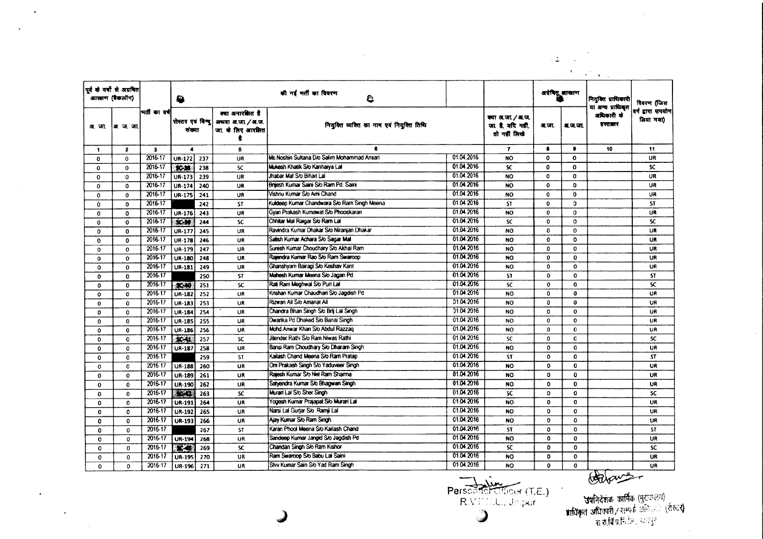|              |                                                                                                        |              |                             |     |                                                              |                                             |            |                                                      |                |              | $\sim 10$<br>$\mathbf{A}=\mathbf{A}$       |                                 |
|--------------|--------------------------------------------------------------------------------------------------------|--------------|-----------------------------|-----|--------------------------------------------------------------|---------------------------------------------|------------|------------------------------------------------------|----------------|--------------|--------------------------------------------|---------------------------------|
|              | पूर्व के वर्षों से अग्रगित<br>आरसण (बैकलोंग)                                                           |              | ₩                           |     |                                                              | की गई भर्ती का विवरण<br>e                   |            |                                                      | अग्रेषितू आखाण |              | नियुक्ति प्राधिकारी                        | विवरण (जिस                      |
| अ. जा.       | ।अ.ज.जा<br>$\overline{\mathbf{z}}$<br>$\mathbf{a}$<br>$\mathbf 0$<br>$\mathbf{0}$<br>$\mathbf{0}$<br>0 | मर्ताका वर्ष | पोस्टर एवं विन्दु<br>संख्या |     | क्या अनारक्षित है<br>अथवा अ.जा. / अ.ज.<br>जा. के लिए आरक्षित | नियुक्ति व्यक्ति का नाम एवं नियुक्ति तिथि   |            | क्या अ.जा./अ.ज.<br>जा. है, यदि नहीं,<br>तो नहीं लिखे | ज. जा.         | अ.ज.जा.      | या अन्य प्राधिकृत<br>अधिकारी के<br>डस्तातर | वर्ग द्वारा उपयोग।<br>लिया गया) |
| $\mathbf{1}$ |                                                                                                        |              | $\ddot{\phantom{a}}$        |     | 6                                                            | 6                                           |            | $\mathbf{7}$                                         | $\bullet$      | $\bullet$    | 10                                         | 11                              |
| 0            |                                                                                                        | 2016-17      | UR-172                      | 237 | UR                                                           | Ms Noshin Sultana D/o Salim Mohammad Ansari | 01.04.2016 | <b>NO</b>                                            | $\mathbf 0$    | 0            |                                            | UR                              |
| 0            |                                                                                                        | 2016-17      | $30-38$                     | 238 | SC.                                                          | Mukesh Khatik S/o Kanharya Lal              | 01.04.2016 | SC.                                                  | $\Omega$       | $\mathbf{o}$ |                                            | <b>SC</b>                       |
| 0            |                                                                                                        | 2016-17      | UR-173                      | 239 | UR                                                           | Jhabar Mal S/o Bihari Lal                   | 01.04.2016 | <b>NO</b>                                            | 0              | $\mathbf 0$  |                                            | UR                              |
| $\Omega$     |                                                                                                        | 2016-17      | UR-174                      | 240 | UR                                                           | Britiesh Kumar Saint Slo Ram Pd. Saint      | 01.04.2016 | <b>NO</b>                                            | $\Omega$       | $\mathbf{0}$ |                                            | UR                              |
| 0            | $\Omega$                                                                                               | 2016-17      | UR-175                      | 241 | <b>UR</b>                                                    | Vishnu Kumar S/o Ami Chand                  | 01.04.2016 | NO                                                   | $\mathbf 0$    | O            |                                            | UR                              |
| $\mathbf 0$  | $\mathbf 0$                                                                                            | 2016-17      |                             | 242 | ST                                                           | Kuldeep Kumar Chandwara Sio Ram Singh Meena | 01.04.2016 | <b>ST</b>                                            | $\bf{0}$       | O.           |                                            | <b>ST</b>                       |
| $\Omega$     | $\Omega$                                                                                               | 2016-17      | UR-176                      | 243 | UR                                                           | Gyan Prakash Kumawat S/o Phooskaran         | 01.04.2016 | <b>NO</b>                                            | $\mathbf{0}$   | $\mathbf{o}$ |                                            | <b>UR</b>                       |
| 0            | $\bf{0}$                                                                                               | 2016-17      | $SC-39$                     | 244 | SC                                                           | Chhitar Mal Raigar S/o Ram Lal              | 01.04.2016 | <b>SC</b>                                            | $\mathbf{0}$   | ö            |                                            | SC.                             |
| 0            | $\Omega$                                                                                               | 2016-17      | UR-177                      | 245 | UR                                                           | Ravindra Kumar Dhakar S/o Niranjan Dhakar   | 01.04.2016 | <b>NO</b>                                            | $\mathbf{0}$   | 0            |                                            | UR                              |
| $\mathbf{0}$ | $\mathbf{0}$                                                                                           | 2016-17      | UR-178                      | 246 | UR                                                           | Satish Kumar Achara S/o Sagar Mal           | 01.04.2016 | <b>NO</b>                                            | $\mathbf{o}$   | $\Omega$     |                                            | <b>UR</b>                       |
| 0            | $\mathbf{o}$                                                                                           | 2016-17      | UR-179                      | 247 | UR                                                           | Suresh Kumar Choudhary S/o Akhai Ram        | 01.04.2016 | <b>NO</b>                                            | $\Omega$       | 0            |                                            | UR                              |
| $\Omega$     | $\Omega$                                                                                               | 2016-17      | UR-180                      | 248 | UR                                                           | Rajendra Kumar Rao S/o Ram Swaroop          | 01.04.2016 | <b>NO</b>                                            | 0              | $\mathbf{o}$ |                                            | UR                              |
| 0            | $\bf{O}$                                                                                               | 2016-17      | UR-181                      | 249 | UR                                                           | Ghanshyam Bairagi S/o Keshav Kant           | 01.04.2016 | NO                                                   | $\mathbf{0}$   | $\mathbf{o}$ |                                            | UR.                             |
| 0            | 0                                                                                                      | 2016-17      |                             | 250 | <b>ST</b>                                                    | Mahesh Kumar Meena S/o Jagan Pd.            | 01.04.2016 | <b>ST</b>                                            | $\mathbf 0$    | $\mathbf{o}$ |                                            | <b>ST</b>                       |
| 0            | $\mathbf 0$                                                                                            | 2016-17      | 36.90                       | 251 | <b>SC</b>                                                    | Rati Ram Meghwal S/o Puri Lal               | 01.04.2016 | <b>SC</b>                                            | $\mathbf{o}$   | $\mathbf{o}$ |                                            | SC.                             |
| o            | $\mathbf{o}$                                                                                           | 2016-17      | UR-182                      | 252 | UR                                                           | Krishan Kumar Chaudhari S/o Jagdish Pd.     | 01.04.2016 | <b>NO</b>                                            | $\mathbf 0$    | $\mathbf{G}$ |                                            | UR                              |
| $\bf{0}$     | $\Omega$                                                                                               | 2016-17      | UR-183                      | 253 | UR                                                           | Rizwan Ali S/o Amanat Ali                   | 01.04.2016 | NO.                                                  | $\Omega$       | $\mathbf 0$  |                                            | UR                              |
| 0            | $\mathbf 0$                                                                                            | 2016-17      | UR-184                      | 254 | UR                                                           | Chandra Bhan Singh S/o Brij Lal Singh       | 01.04.2016 | <b>NO</b>                                            | $\mathbf 0$    | $\bf{0}$     |                                            | <b>UR</b>                       |
| 0            | $\Omega$                                                                                               | 2016-17      | <b>UR-185</b>               | 255 | UR                                                           | Dwarika Pd Dhaked S/o Banai Singh           | 01.04.2016 | <b>NO</b>                                            | 0              | $\mathbf{o}$ |                                            | <b>UR</b>                       |
| $\mathbf{o}$ | $\mathbf{o}$                                                                                           | 2016-17      | UR-186                      | 256 | UR                                                           | Mond Anwar Khan S/o Abdul Razzao            | 01.04.2016 | NO.                                                  | 0              | 0            |                                            | <b>UR</b>                       |
| 0            | $\Omega$                                                                                               | 2016-17      | \$C41                       | 257 | <b>SC</b>                                                    | Jitender Rathi S/o Ram Niwas Rathi          | 01.04.2016 | SC                                                   | 0              | C            |                                            | SC.                             |
| 0            | 0                                                                                                      | 2016-17      | <b>UR-187</b>               | 258 | UR                                                           | Bansi Ram Choudhary S/o Dharam Singh        | 01.04.2016 | <b>NO</b>                                            | 0              | 0            |                                            | UR                              |
| 0            | $\Omega$                                                                                               | 2016-17      |                             | 259 | <b>ST</b>                                                    | Kailash Chand Meena S/o Ram Pratap          | 01.04.2016 | <b>ST</b>                                            | $\mathbf{0}$   | $\mathbf{o}$ |                                            | <b>ST</b>                       |
| 0            | 0                                                                                                      | 2016-17      | <b>UR-188</b>               | 260 | <b>UR</b>                                                    | Om Prakash Singh S/o Yaduveer Singh         | 01.04.2016 | <b>NO</b>                                            | $\mathbf 0$    | $\mathbf 0$  |                                            | <b>UR</b>                       |
| 0            | 0                                                                                                      | 2016-17      | <b>UR-189</b>               | 261 | UR                                                           | Raiesh Kumar S/o Net Ram Sharma             | 01.04.2016 | <b>NO</b>                                            | $\Omega$       | $\mathbf 0$  |                                            | UR                              |
| $\bf{0}$     | 0                                                                                                      | 2016-17      | UR-190                      | 262 | UR                                                           | Satyendra Kumar S/o Bhagwan Singh           | 01.04.2016 | <b>NO</b>                                            | $\mathbf 0$    | $\mathbf 0$  |                                            | UR                              |
| 0            | $\Omega$                                                                                               | 2016-17      | anas<br>Seine               | 263 | <b>SC</b>                                                    | Murari Lal S/o Sher Singh                   | 01.04.2016 | <b>SC</b>                                            | 0              | $\mathbf{o}$ |                                            | SC                              |
| 0            | $\mathbf{O}$                                                                                           | 2016-17      | UR-191                      | 264 | <b>UR</b>                                                    | Yogesh Kumar Prajapat S/o Murari Lal        | 01.04.2016 | NO                                                   | $\bf{0}$       | $\mathbf{o}$ |                                            | <b>UR</b>                       |
| 0            | $\Omega$                                                                                               | 2016-17      | <b>UR-192</b>               | 265 | UR                                                           | Narsi Lal Gurjar S/o Ramii Lal              | 01.04.2016 | NO                                                   | 0              | $\mathbf 0$  |                                            | <b>UR</b>                       |
| $\Omega$     | $\Omega$                                                                                               | 2016-17      | UR-193                      | 266 | UR                                                           | Aiay Kumar S/o Ram Singh                    | 01.04.2016 | NO                                                   | 0              | 0            |                                            | UR                              |
| 0            | $\mathbf{o}$                                                                                           | 2016-17      |                             | 267 | ST.                                                          | Karan Phool Meena S/o Kailash Chand         | 01.04.2016 | <b>ST</b>                                            | $\Omega$       | 0            |                                            | ST                              |
| $\mathbf{o}$ | 0                                                                                                      | 2016-17      | <b>UR-194</b>               | 268 | UR                                                           | Sandeep Kumar Jangid S/o Jagdish Pd         | 01.04.2016 | <b>NO</b>                                            | $\Omega$       | $\mathbf{0}$ |                                            | UR                              |
| 0            | $\mathbf{0}$                                                                                           | 2016-17      | $\mathbf{u}$                | 269 | <b>SC</b>                                                    | Chandan Singh S/o Ram Kishor                | 01.04.2016 | <b>SC</b>                                            | 0              | 0            |                                            | <b>SC</b>                       |
| $\mathbf{o}$ | $\mathbf 0$                                                                                            | 2016-17      | <b>UR-195</b>               | 270 | UR                                                           | Ram Swaroop S/o Babu Lal Saini              | 01.04.2016 | NO.                                                  | $\mathbf{O}$   | $\mathbf 0$  |                                            | <b>UR</b>                       |
| 0            | 0                                                                                                      | 2016-17      | <b>UR-196</b>               | 271 | UR                                                           | Shiv Kumar Sain S/o Yad Ram Singh           | 01.04.2016 | NO.                                                  | 0              | $\mathbf 0$  |                                            | <b>UR</b>                       |

 $\sim 10^7$ 

Personnel Officer (T.E.)  $\overline{\phantom{a}}$ 

 $\sim$ 

Orlans-

 $\sim 2.5 \times 10^4$ 

-<br>- **उपनिदेशकं कार्मिक (मु**ख्यालय)<br>- ब्रा**चीप्रानिधि निर्वार करन**्दी<br>- ब्राचीप्रनिधि नगरन्दी

 $\sim$ 

 $\star$ 

 $\lambda$ 

 $\Delta$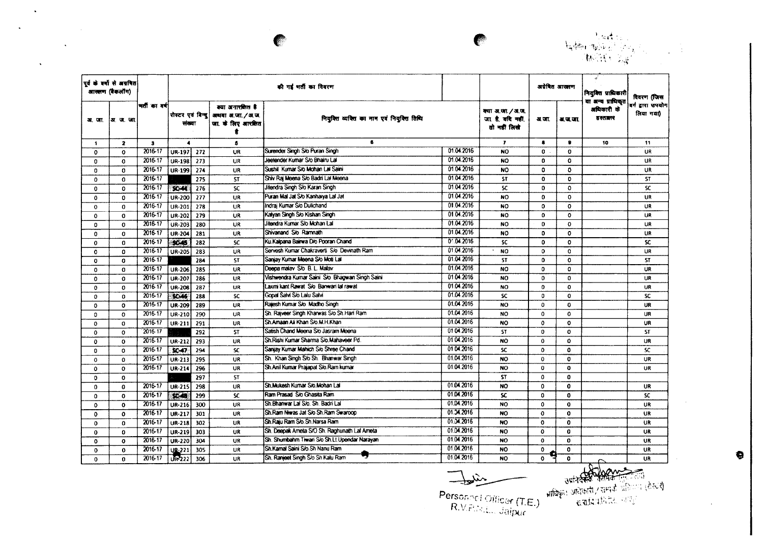

|              | पूर्व के बर्बों से अग्रवित<br>आखाण (बैकलींग) |             |                      |     |                                                                                 | की गई भर्ती का विवरण                            |            |                                                     |              | अग्रेषित आखारण | नियुक्ति प्राधिकारी                        | विवरण (जिस                     |
|--------------|----------------------------------------------|-------------|----------------------|-----|---------------------------------------------------------------------------------|-------------------------------------------------|------------|-----------------------------------------------------|--------------|----------------|--------------------------------------------|--------------------------------|
| अर. जा.      | ∤अ∴ण. जा.                                    | मती का वर्ष | संख्या               |     | क्या अनारकित है<br>रोस्टर एवं बिन्दु अधवा अ.जा./अ.ज.<br>जा. के लिए आरक्षित<br>ŧ | नियुक्ति व्यक्ति का नाम एवं नियुक्ति तिथि       |            | क्या अ.जा./अ.ज.<br>जा है, वदि नहीं,<br>तो नहीं लिखे | अ.जा.        | अ.ज.जा.        | या अन्य प्राधिकृत<br>अधिकारी के<br>हस्तालर | वर्ग द्वारा उपयोग<br>लिया गया) |
| $\mathbf{1}$ | $\mathbf{z}$                                 | 3           | $\blacktriangleleft$ |     | 5                                                                               | $\bullet$                                       |            | $\overline{\mathbf{r}}$                             | $\bullet$    |                | 10                                         | 11                             |
| $\mathbf 0$  | $\mathbf{o}$                                 | 2016-17     | <b>UR-197</b>        | 272 | UR                                                                              | Surender Singh S/o Puran Singh                  | 01.04.2016 | <b>NO</b>                                           | $\mathbf{0}$ | $\mathbf{0}$   |                                            | UR                             |
| $\mathbf{0}$ | $\mathbf 0$                                  | 2016-17     | <b>UR-198</b>        | 273 | <b>UR</b>                                                                       | Jeetender Kumar S/o Bhairu Lal                  | 01.04.2016 | <b>NO</b>                                           | $\mathbf{0}$ | $\Omega$       |                                            | <b>UR</b>                      |
| $\Omega$     | 0                                            | 2016-17     | <b>UR-199</b>        | 274 | <b>UR</b>                                                                       | Sushill Kumar S/o Mohan Lal Saini               | 01.04.2016 | <b>NO</b>                                           | $\mathbf{O}$ | $\mathbf{o}$   |                                            | <b>UR</b>                      |
| 0            | $\Omega$                                     | 2016-17     |                      | 275 | <b>ST</b>                                                                       | Shiv Raj Meena S/o Badri Lal Meena              | 01.04.2016 | <b>ST</b>                                           | $\mathbf{0}$ | $\mathbf{o}$   |                                            | ST.                            |
| $\mathbf{0}$ | $\Omega$                                     | 2016-17     | $90 - 44$            | 276 | <b>SC</b>                                                                       | Jitendra Singh S/o Karan Singh                  | 01.04.2016 | SC.                                                 | 0            | $\mathbf{0}$   |                                            | <b>SC</b>                      |
| 0            | 0                                            | 2016-17     | <b>UR-200</b>        | 277 | UR                                                                              | Puran Mal Jat S/o Kanhaiya Lal Jat              | 01.04.2016 | NO.                                                 | $\mathbf{0}$ | $\mathbf{o}$   |                                            | UR                             |
| $\mathbf{o}$ | $\Omega$                                     | 2016-17     | UR-201               | 278 | UR                                                                              | Indrai Kumar S/o Dulichand                      | 01.04.2016 | <b>NO</b>                                           | 0            | $\mathbf{o}$   |                                            | UR                             |
| $\mathbf 0$  | 0                                            | 2016-17     | <b>UR-202</b>        | 279 | <b>UR</b>                                                                       | Kalyan Singh S/o Kishan Singh                   | 01.04.2016 | NO.                                                 | 0            | $\bullet$      |                                            | UR                             |
| $\Omega$     | $\Omega$                                     | 2016-17     | UR-203               | 280 | UR                                                                              | Jitendra Kumar S/o Mohan Lal                    | 01.04.2016 | NO.                                                 | $\mathbf{0}$ | $\mathbf 0$    |                                            | UR                             |
| $\mathbf 0$  | $\mathbf{0}$                                 | 2016-17     | <b>UR-204</b>        | 281 | UR.                                                                             | Shivanand S/o Ramnath                           | 01.04.2016 | <b>NO</b>                                           | $\mathbf{a}$ | $\mathbf{o}$   |                                            | UR.                            |
| $\mathbf{o}$ | $\Omega$                                     | 2016-17     | \$C45                | 282 | <b>SC</b>                                                                       | Ku Kalpana Bairwa D/o Pooran Chand              | 01.04.2016 | SC.                                                 | $\mathbf{0}$ | $\mathbf{0}$   |                                            | <b>SC</b>                      |
| $\mathbf 0$  | 0                                            | 2016-17     | <b>UR-205</b>        | 283 | UR                                                                              | Servesh Kumar Chakraverti S/o Devinath Ram      | 01.04.2016 | <b>NO</b>                                           | $\mathbf{O}$ | $\Omega$       |                                            | UR                             |
| $\mathbf o$  | $\mathbf 0$                                  | 2016-17     |                      | 284 | <b>ST</b>                                                                       | Sanjay Kumar Meena S/o Moti Lal                 | 01.04.2016 | <b>ST</b>                                           | $\mathbf{0}$ | $\mathbf{o}$   |                                            | <b>ST</b>                      |
| 0            | 0                                            | 2016-17     | <b>UR-206</b>        | 285 | <b>UR</b>                                                                       | Deepa malay S/o B.L. Malay                      | 01.04.2016 | <b>NO</b>                                           | $\Omega$     | $\Omega$       |                                            | <b>UR</b>                      |
| 0            | 0                                            | 2016 17     | UR-207               | 286 | <b>UR</b>                                                                       | Vishwendra Kurnar Saini S/o Bhagwan Singh Saini | 0104.2016  | <b>NO</b>                                           | $\mathbf 0$  | $\mathbf 0$    |                                            | UR                             |
| 0            | $\Omega$                                     | 2016-17     | <b>UR-208</b>        | 287 | <b>UR</b>                                                                       | Laxmi kant Rawat S/o Banwari lal rawat          | 01.04.2016 | <b>NO</b>                                           | $\Omega$     | $\mathbf{o}$   |                                            | UR                             |
| $\mathbf 0$  | 0                                            | 2016-17     | <b>SeX5</b>          | 288 | <b>SC</b>                                                                       | Gopal Salvi S/o Lalu Salvi                      | 01.04.2016 | SC.                                                 | 0            | $\mathbf{o}$   |                                            | <b>SC</b>                      |
| $\mathbf{o}$ | $\Omega$                                     | 2016 17     | <b>UR-209</b>        | 289 | <b>UR</b>                                                                       | Rajesh Kumar S/o Madho Singh                    | 01.04.2016 | <b>NO</b>                                           | 0            | 0              |                                            | UR                             |
| 0            | $\mathbf{0}$                                 | 2016-17     | UR-210               | 290 | UR                                                                              | Sh. Rajveer Singh Kharwas S/o Sh Hari Ram       | 01.04.2016 | NO.                                                 | 0            | $\mathbf{o}$   |                                            | <b>UR</b>                      |
| $\mathbf{o}$ | $\mathbf{0}$                                 | 2016-17     | UR-211               | 291 | UR                                                                              | Sh Amaan Ali Khan S/o M.H.Khan                  | 01.04.2016 | <b>NO</b>                                           | $\Omega$     | $\mathbf 0$    |                                            | UR                             |
| $\mathbf{o}$ | $^{\circ}$                                   | 2016-17     |                      | 292 | <b>ST</b>                                                                       | Satish Chand Meena S/o Jasram Meena             | 01 04:2016 | <b>ST</b>                                           | 0            | $\mathbf 0$    |                                            | <b>ST</b>                      |
| $\mathbf{o}$ | $\mathbf{0}$                                 | 2016-17     | <b>UR-212</b>        | 293 | UR                                                                              | Sh.Rishi Kumar Sharma S/o.Mahaveer Pd.          | 0104.2016  | NO.                                                 | $\Omega$     | 0              |                                            | UR                             |
| $\mathbf{0}$ | 0                                            | 2016-17     | <b>SC-47</b>         | 294 | <b>SC</b>                                                                       | Sanjay Kumar Mahich S/o Shree Chand             | 0104.2016  | SC.                                                 | O.           | 0              |                                            | SC.                            |
| $\mathbf{o}$ | $\Omega$                                     | 2016-17     | UR-213               | 295 | UR                                                                              | Sh. Khan Singh S/o Sh. Bhanwar Singh            | 01.04.2016 | <b>NO</b>                                           | $\Omega$     | $\mathbf 0$    |                                            | UR                             |
| $\mathbf 0$  | 0                                            | 2016-17     | UR-214               | 296 | <b>UR</b>                                                                       | Sh.Anil Kumar Prajapat S/o.Ram kumar            | 01.04.2016 | <b>NO</b>                                           | $\Omega$     | $\mathbf{o}$   |                                            | UR                             |
| $\mathbf{0}$ | 0                                            |             |                      | 297 | <b>ST</b>                                                                       |                                                 |            | <b>ST</b>                                           | $\Omega$     | $\mathbf{0}$   |                                            |                                |
| 0            | $\mathbf{0}$                                 | 2016-17     | UR-215               | 298 | UR                                                                              | Sh.Mukesh Kumar S/o.Mohan Lal                   | 01.04.2016 | <b>NO</b>                                           | $\Omega$     | $\mathbf 0$    |                                            | <b>UR</b>                      |
| $\Omega$     | $\mathbf{0}$                                 | 2016-17     | <b>ESSA</b>          | 299 | <b>SC</b>                                                                       | Ram Prasad S/o Ghasita Ram                      | 01.04.2016 | SC.                                                 | $\Omega$     | $\mathbf{0}$   |                                            | SC.                            |
| 0            | $\mathbf{0}$                                 | 2016-17     | <b>UR-216</b>        | 300 | UR                                                                              | Sh.Bhanwar Lal S/o. Sh. Badri Lal               | 01.04.2016 | NO.                                                 | $\Omega$     | $\mathbf{o}$   |                                            | UR                             |
| $\mathbf 0$  | $\Omega$                                     | 2016-17     | UR-217               | 301 | UR                                                                              | Sh.Ram Niwas Jat S/o Sh.Ram Swaroop             | 01.04.2016 | <b>NO</b>                                           | $\mathbf{0}$ | $\mathbf{o}$   |                                            | <b>UR</b>                      |
| 0            | $\Omega$                                     | 2016-17     | UR-218               | 302 | UR                                                                              | Sh.Raiu Ram S/o.Sh.Narsa Ram                    | 01.04.2016 | NO.                                                 | $\mathbf{0}$ | $\mathbf 0$    |                                            | UR                             |
| $\bf{0}$     | 0                                            | 2016-17     | UR-219               | 303 | UR                                                                              | Sh. Deepak Ameta S/O Sh. Raghunath Lal Ameta    | 01.04.2016 | NO.                                                 | $\Omega$     | $\mathbf{a}$   |                                            | <b>UR</b>                      |
| $\mathbf 0$  | $\mathbf 0$                                  | 2016-17     | UR-220               | 304 | UR                                                                              | Sh. Shumbahm Tiwan Sio Sh.Lt.Upendar Narayan    | 01.04.2016 | NO.                                                 | $\mathbf{o}$ | $\mathbf{0}$   |                                            | <b>UR</b>                      |
| $\mathbf{0}$ | $\Omega$                                     | 2016-17     | <b>UB-221</b>        | 305 | <b>UR</b>                                                                       | Sh.Kamal Saini S/o.Sh Nanu Ram                  | 01.04.2016 | NO.                                                 | $\mathbf{o}$ | $\mathbf{o}$   |                                            | <b>UR</b>                      |
| 0            | $\mathbf{0}$                                 | $2016 - 17$ | UR222                | 306 | <b>UR</b>                                                                       | Sh. Ranjeet Singh S/o Sh Kalu Ram               | 01.04.2016 | NO.                                                 | $\mathbf{o}$ | $\Omega$       | $\sim$                                     | <b>UR</b>                      |

 $\blacksquare$ 

 $\sim 10^{-1}$ 

 $\mathbf{A}^{\mathcal{A}}$ 

 $\label{eq:2.1} \frac{1}{\sqrt{2}}\int_{\mathbb{R}^3}\frac{1}{\sqrt{2}}\left(\frac{1}{\sqrt{2}}\right)^2\frac{1}{\sqrt{2}}\left(\frac{1}{\sqrt{2}}\right)^2\frac{1}{\sqrt{2}}\left(\frac{1}{\sqrt{2}}\right)^2\frac{1}{\sqrt{2}}\left(\frac{1}{\sqrt{2}}\right)^2.$ 

 $\mathcal{L}^{\text{max}}_{\text{max}}$ 

 $\Delta \sim 10^{-11}$ 

 $\exists x$ 

Personnel Officer (T.E.)<br>R.V.P.N.L., Jaipur

 $\sim$ 

 $\sim$ 

 $\bullet$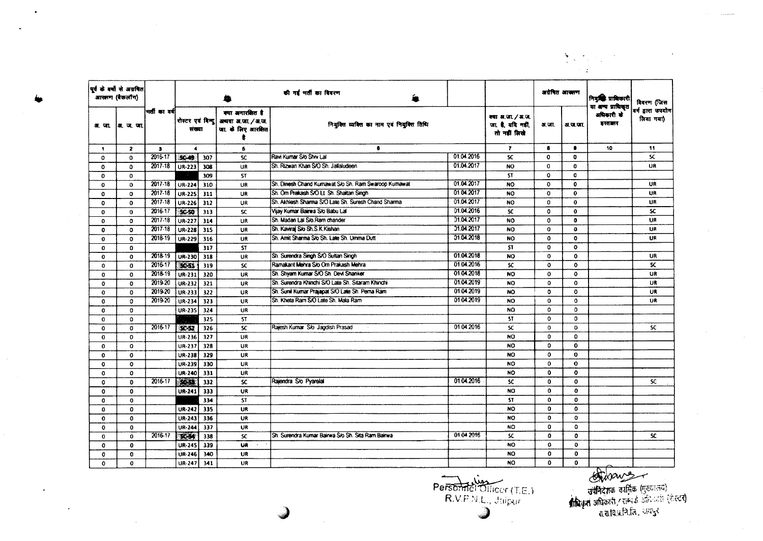|              | पूर्व के बर्षों से अग्रवित<br>आरक्षण (बैकलॉग) |              |                             |                  |                                                            | की गई भर्ती का विवरण                                 |            |                                                        | अग्रेषित आसाण |              | नियुक्ति प्राधिकारी                        | विवरण जिस                      |
|--------------|-----------------------------------------------|--------------|-----------------------------|------------------|------------------------------------------------------------|------------------------------------------------------|------------|--------------------------------------------------------|---------------|--------------|--------------------------------------------|--------------------------------|
|              | अर. जा.  अर. ज. जा.                           | भर्तीका वर्ष | रोस्टर एवं बिन्दू<br>संख्या |                  | क्या अनारवित है<br>अथवा अ.जा. / अ.ज.<br>जा. के लिए आरक्षित | नियक्ति व्यक्ति का नाम एवं नियुक्ति तिथि             |            | क्या अ.जा. / अ.ज.<br>जा. है, यदि नहीं,<br>तो नहीं लिखे | अ.जा.         | अ.ज.जा.      | या अन्य प्राधिकृत<br>अधिकारी के<br>हस्तालर | वर्ग द्वारा खपयोग<br>लिया गया) |
| $\mathbf{f}$ | $\mathbf{z}$                                  | $\bullet$    | $\blacktriangleleft$        |                  | 5                                                          | 6                                                    |            | $\overline{r}$                                         | 8             | $\bullet$    | 10                                         | 11                             |
| $\mathbf{o}$ | $\mathbf{O}$                                  | $2016 - 17$  | $50-49$                     | 307              | <b>SC</b>                                                  | Ravi Kumar S/o Shiv Lai                              | 01.04.2016 | <b>SC</b>                                              | $\mathbf{o}$  | $\mathbf{0}$ |                                            | <b>SC</b>                      |
| $\mathbf 0$  | $\Omega$                                      | 2017-18      | UR-223                      | 308              | <b>UR</b>                                                  | Sh. Rizwan Khan S/O Sh. Jallaludeen                  | 01.04.2017 | <b>NO</b>                                              | $\Omega$      | $\mathbf{0}$ |                                            | UR                             |
| $\Omega$     | $\Omega$                                      |              |                             | 309              | <b>ST</b>                                                  |                                                      |            | <b>ST</b>                                              | $\Omega$      | $\mathbf{0}$ |                                            |                                |
| $\mathbf{o}$ | $\mathbf{o}$                                  | 2017-18      | <b>UR-224</b>               | 310              | <b>UR</b>                                                  | Sh. Dinesh Chand Kumawat S/o Sh. Ram Swaroop Kumawat | 01.04.2017 | <b>NO</b>                                              | $\mathbf 0$   | $\mathbf{0}$ |                                            | <b>UR</b>                      |
| $\mathbf{o}$ | $\mathbf{0}$                                  | 2017-18      | UR-225                      | 311              | UR                                                         | Sh. Om Prakash S/O Lt. Sh. Shaitan Singh             | 01.04.2017 | <b>NO</b>                                              | $\mathbf{o}$  | $\bullet$    |                                            | <b>UR</b>                      |
| $\Omega$     | 0                                             | 2017-18      | UR-226                      | 312              | <b>UR</b>                                                  | Sh. Aichlesh Sharma S/O Late Sh. Suresh Chand Sharma | 01.04.2017 | <b>NO</b>                                              | $\Omega$      | $\mathbf{0}$ |                                            | UR                             |
| $\Omega$     | $\mathbf{o}$                                  | 2016-17      | \$S0                        | 313              | <b>SC</b>                                                  | Vijay Kumar Bairwa S/o Babu Lal                      | 01.04.2016 | <b>SC</b>                                              | $\Omega$      | $\mathbf{0}$ |                                            | <b>SC</b>                      |
| $\mathbf 0$  | $\mathbf{0}$                                  | 2017-18      | <b>UR-227</b>               | 314              | UR                                                         | Sh. Madan Lal S/o. Ram chander                       | 01.04.2017 | NO.                                                    | $\Omega$      | $\mathbf{0}$ |                                            | UR                             |
| $\bf{0}$     | $\mathbf{o}$                                  | 2017-18      | <b>UR-228</b>               | 315              | <b>UR</b>                                                  | Sh. Kavirai S/o Sh. S. K. Kishan                     | 01.04.2017 | <b>NO</b>                                              | $\mathbf{o}$  | $\mathbf{o}$ |                                            | UR                             |
| 0            | $\Omega$                                      | 2018-19      | UR-229                      | 316              | UR                                                         | Sh. Amit Sharma S/o Sh. Late Sh. Umma Dutt           | 01.04.2018 | <b>NO</b>                                              | $\mathbf 0$   | $\mathbf{0}$ |                                            | UR                             |
| $\mathbf 0$  | $\mathbf{0}$                                  |              |                             | 317              | <b>ST</b>                                                  |                                                      |            | <b>ST</b>                                              | 0             | $\Omega$     |                                            |                                |
| $\mathbf 0$  | $\mathbf{0}$                                  | 2018-19      | UR-230                      | 318              | UR                                                         | Sh. Surendra Singh S/O Sultan Singh                  | 01.04.2018 | <b>NO</b>                                              | $\mathbf 0$   | $\mathbf o$  |                                            | <b>UR</b>                      |
| 0            | $\mathbf 0$                                   | 2016-17      | <b>SASSE</b>                | 319              | <b>SC</b>                                                  | Ramakant Mehra S/o Om Prakash Mehra                  | 01.04.2016 | <b>SC</b>                                              | $\mathbf 0$   | $\mathbf 0$  |                                            | <b>SC</b>                      |
| $\Omega$     | $\Omega$                                      | 2018-19      | UR-231                      | 320              | UR                                                         | Sh. Shyam Kumar S/O Sh. Devi Shanker                 | 01.04.2018 | <b>NO</b>                                              | $\Omega$      | $\mathbf{0}$ |                                            | UR                             |
| 0            | $\Omega$                                      | 2019-20      | <b>UR-232</b>               | 321              | UR                                                         | Sh. Surendra Khinchi S/O Late Sh. Sitaram Khinchi    | 01.04.2019 | <b>NO</b>                                              | $\mathbf 0$   | $\mathbf{o}$ |                                            | UR                             |
| $\mathbf{o}$ | $\Omega$                                      | 2019-20      | UR-233                      | 322              | UR                                                         | Sh. Sunil Kumar Prajapat S/O Late Sh. Pema Ram       | 01.04.2019 | <b>NO</b>                                              | $\mathbf 0$   | $\mathbf 0$  |                                            | <b>UR</b>                      |
| 0            | $\mathbf{0}$                                  | 2019-20      | UR-234                      | $\overline{323}$ | UR                                                         | Sh. Kheta Ram S/O Late Sh. Mala Ram                  | 01.04.2019 | <b>NO</b>                                              | $\mathbf 0$   | $\mathbf 0$  |                                            | UR                             |
| $\mathbf 0$  | $\mathbf{O}$                                  |              | UR-235                      | 324              | UR                                                         |                                                      |            | <b>NO</b>                                              | $\Omega$      | $\Omega$     |                                            |                                |
| $\Omega$     | $\Omega$                                      |              |                             | 325              | <b>ST</b>                                                  |                                                      |            | <b>ST</b>                                              | $\mathbf 0$   | O.           |                                            |                                |
| 0            | $\mathbf 0$                                   | 2016-17      | $SC-52$                     | 326              | <b>SC</b>                                                  | Rajesh Kumar S/o Jagdish Prasad                      | 01.04.2016 | <b>SC</b>                                              | $\mathbf 0$   | O            |                                            | <b>SC</b>                      |
| $\mathbf{0}$ | $\mathbf{0}$                                  |              | UR-236                      | 327              | UR                                                         |                                                      |            | <b>NO</b>                                              | $\mathbf 0$   | $\mathbf{O}$ |                                            |                                |
| $\Omega$     | $\mathbf{0}$                                  |              | UR-237                      | 328              | <b>UR</b>                                                  |                                                      |            | <b>NO</b>                                              | $\Omega$      | $\mathbf{O}$ |                                            |                                |
| $\mathbf 0$  | $\mathbf 0$                                   |              | UR-238                      | 329              | <b>UR</b>                                                  |                                                      |            | <b>NO</b>                                              | $\Omega$      | $\mathbf 0$  |                                            |                                |
| 0            | $\mathbf{o}$                                  |              | <b>UR-239</b>               | 330              | UR                                                         |                                                      |            | <b>NO</b>                                              | $\mathbf{o}$  | $\bullet$    |                                            |                                |
| $\Omega$     | $\Omega$                                      |              | <b>UR-240</b>               | 331              | UR                                                         |                                                      |            | NO                                                     | $\mathbf 0$   | $\bullet$    |                                            |                                |
| $\Omega$     | $\mathbf{0}$                                  | 2016-17      | <b>KOST</b>                 | 332              | <b>SC</b>                                                  | Rajendra S/o Pyarelal                                | 01.04.2016 | <b>SC</b>                                              | $\mathbf o$   | $\mathbf{0}$ |                                            | SC.                            |
| $\mathbf 0$  | $\mathbf{0}$                                  |              | UR-241                      | 333              | <b>UR</b>                                                  |                                                      |            | <b>NO</b>                                              | $\Omega$      | $\bf{0}$     |                                            |                                |
| $\mathbf 0$  | $\mathbf{o}$                                  |              |                             | 334              | <b>ST</b>                                                  |                                                      |            | <b>ST</b>                                              | $\mathbf{o}$  | $\mathbf{0}$ |                                            |                                |
| $\Omega$     | $\Omega$                                      |              | UR-242                      | 335              | UR                                                         |                                                      |            | <b>NO</b>                                              | $\mathbf{o}$  | $\mathbf{0}$ |                                            |                                |
| $\Omega$     | $\mathbf 0$                                   |              | UR-243                      | 336              | UR                                                         |                                                      |            | NO.                                                    | $\mathbf 0$   | $\mathbf{0}$ |                                            |                                |
| $\mathbf{o}$ | $\mathbf{0}$                                  |              | <b>UR-244</b>               | 337              | UR                                                         |                                                      |            | NO.                                                    | $\mathbf 0$   | 0            |                                            |                                |
| 0            | $\mathbf 0$                                   | 2016-17      | <b>ERST</b>                 | 338              | <b>SC</b>                                                  | Sh. Surendra Kumar Bairwa S/o Sh. Sita Ram Bairwa    | 0104 2016  | $\overline{\mathbf{x}}$                                | $\mathbf{o}$  | $\mathbf{0}$ |                                            | SC.                            |
| $\mathbf{o}$ | $\mathbf{o}$                                  |              | <b>UR-245</b>               | 339              | <b>UR</b><br>$\sim$                                        |                                                      |            | NO.                                                    | $\Omega$      | $\mathbf{o}$ |                                            |                                |
| $\Omega$     | $\mathbf{o}$                                  |              | UR-246                      | 340              | UR                                                         |                                                      |            | <b>NO</b>                                              | 0             | $\mathbf{0}$ |                                            |                                |
| $\mathbf{o}$ | $\mathbf 0$                                   |              | UR-247                      | 341              | UR                                                         |                                                      |            | <b>NO</b>                                              | $\mathbf 0$   | $\mathbf{o}$ |                                            |                                |

Personnel Ollicor (T.E.)  $\overline{\phantom{a}}$ 

~

 $\sum_{i=1}^N \sum_{\substack{p_i \in \mathcal{P}(p_i) \\ p_i \in \mathcal{P}(p_i)}} \mathbb{E} \left[ \sum_{\substack{p_i \in \mathcal{P}(p_i) \\ p_i \in \mathcal{P}(p_i)}} \mathbb{E} \left[ \sum_{\substack{p_i \in \mathcal{P}(p_i) \\ p_i \in \mathcal{P}(p_i)}} \mathbb{E} \left[ \sum_{\substack{p_i \in \mathcal{P}(p_i) \\ p_i \in \mathcal{P}(p_i)}} \mathbb{E} \left[ \sum_{\substack{p_i \in \mathcal{P}(p_i) \\ p_i \in \mathcal{P}(p_i)}} \mathbb{E$ 

 $\bullet$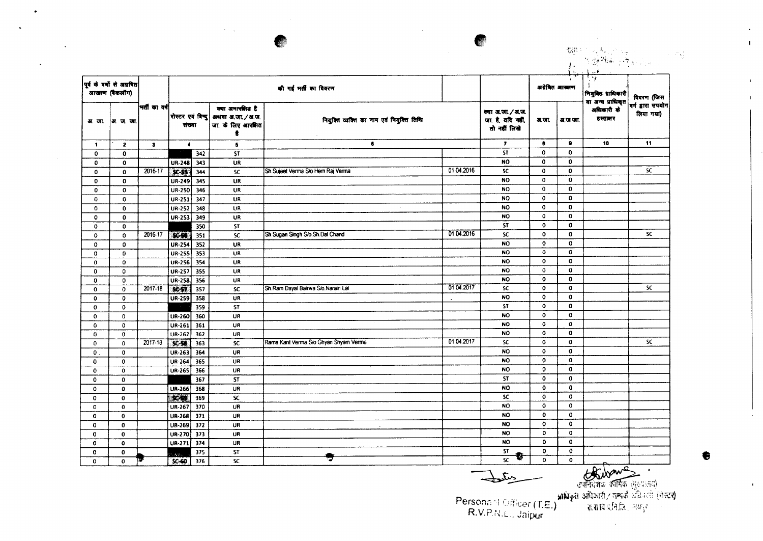|              |                                             |               |                             |     |                                                                                       |                                           |            |                                                     |                              | 張楚<br>in.                  |                                                 | $\sim 6\,\mathrm{G}$           |
|--------------|---------------------------------------------|---------------|-----------------------------|-----|---------------------------------------------------------------------------------------|-------------------------------------------|------------|-----------------------------------------------------|------------------------------|----------------------------|-------------------------------------------------|--------------------------------|
|              | पूर्व के वर्णों से अग्रणित<br>आखाण (बैकलॉग) |               |                             |     |                                                                                       | की गई मर्ती का विवरण                      |            |                                                     |                              | अग्रेषित आस्त्राण          | ۰,<br>नियुक्तिः प्राधिकारी<br>या अन्य प्राधिकृत | विवरण (जिस                     |
|              | अ. जा.  अ. ज. जा.                           | भर्ती का वर्ष | संख्या                      |     | क्या अनारसित है<br> रोस्टर एवं विन्दु  अध्यया अ.जा. ∕ अ.ज.<br>जा. के लिए आरक्षित<br>ŧ | नियुक्ति व्यक्ति का नाम एवं नियुक्ति तिथि |            | क्या अ.जा./अ.ज<br>जा. है, यदि नहीं,<br>तो नहीं लिखे | अ.जा.                        | म, ज.जा.                   | अधिकारी के<br>हस्तातर                           | वर्ग द्वारा सपयोग<br>लिया गया) |
| $\mathbf{1}$ | $\mathbf{z}$                                | $\bullet$     | $\blacktriangleleft$        |     | $\bullet$                                                                             | $\bullet$                                 |            | $\mathbf{r}$                                        | 8                            | $\bullet$                  | 10                                              | 11                             |
| $\mathbf 0$  | $\mathbf{o}$                                |               |                             | 342 | <b>ST</b>                                                                             |                                           |            | <b>ST</b>                                           | $\mathbf{0}$                 | $\mathbf 0$                |                                                 |                                |
| $\bf{0}$     | $\mathbf 0$                                 |               | UR-248 343                  |     | UR                                                                                    |                                           |            | NO                                                  | $\mathbf{0}$                 | 0                          |                                                 |                                |
| $\mathbf 0$  | $\mathbf 0$                                 | 2016-17       | $SC-55$                     | 344 | <b>SC</b>                                                                             | Sh.Sujeet Verma S/o Hem Raj Verma         | 01.04.2016 | <b>SC</b>                                           | $\mathbf 0$                  | $\mathbf{o}$               |                                                 | SC.                            |
| 0            | $\mathbf{o}$                                |               | UR-249                      | 345 | UR                                                                                    |                                           |            | <b>NO</b>                                           | $\mathbf 0$                  | 0                          |                                                 |                                |
| $\bf{0}$     | $\mathbf 0$                                 |               | UR-250 346                  |     | UR                                                                                    |                                           |            | <b>NO</b>                                           | $\mathbf{0}$                 | 0                          |                                                 |                                |
| 0            | 0                                           |               | UR-251                      | 347 | UR                                                                                    |                                           |            | <b>NO</b>                                           | $\bf{0}$                     | 0                          |                                                 |                                |
| 0            | $\mathbf{0}$                                |               | $UR-252$                    | 348 | UR                                                                                    |                                           |            | <b>NO</b>                                           | $\mathbf{o}$                 | $\mathbf{o}$               |                                                 |                                |
| 0            | $\mathbf 0$                                 |               | UR-253 349                  |     | UR                                                                                    |                                           |            | <b>NO</b>                                           | $\mathbf 0$                  | $\mathbf 0$                |                                                 |                                |
| $\mathbf 0$  | O                                           |               |                             | 350 | <b>ST</b>                                                                             |                                           |            | <b>ST</b>                                           | $\mathbf 0$                  | $\mathbf{0}$               |                                                 |                                |
| $\mathbf{0}$ | $\mathbf{0}$                                | 2016-17       | <b>KGN</b>                  | 351 | <b>SC</b>                                                                             | Sh Sugan Singh S/o Sh Dal Chand           | 01.04.2016 | SC.                                                 | $\mathbf{0}$                 | $\mathbf{0}$               |                                                 | SC.                            |
| $\mathbf 0$  | $\bf{0}$                                    |               | UR-254                      | 352 | UR                                                                                    |                                           |            | <b>NO</b>                                           | $\mathbf{0}$                 | $\mathbf 0$                |                                                 |                                |
| 0            | O                                           |               | <b>UR-255</b>               | 353 | <b>UR</b>                                                                             |                                           |            | <b>NO</b>                                           | $\mathbf 0$                  | $\mathbf{0}$               |                                                 |                                |
| 0            | 0                                           |               | UR-256 354                  |     | UR                                                                                    |                                           |            | <b>NO</b>                                           | $\circ$                      | 0                          |                                                 |                                |
| $\mathbf 0$  | 0                                           |               | <b>UR-257</b>               | 355 | UR                                                                                    |                                           |            | <b>NO</b>                                           | 0                            | $\mathbf 0$                |                                                 |                                |
| $\mathbf 0$  | 0                                           |               | $UR-258$ 356                |     | <b>UR</b>                                                                             |                                           |            | <b>NO</b>                                           | $\mathbf 0$                  | $\mathbf 0$                |                                                 |                                |
| $\mathbf 0$  | $\mathbf 0$                                 | 2017-18       | SCST                        | 357 | <b>SC</b>                                                                             | Sh.Ram Dayal Bairwa S/o.Narain Lal        | 01.04.2017 | <b>SC</b>                                           | $\mathbf{o}$                 | $\circ$                    |                                                 | <b>SC</b>                      |
| $\mathbf 0$  | o                                           |               | <b>UR-259</b>               | 358 | UR                                                                                    |                                           |            | <b>NO</b>                                           | $\mathbf{0}$                 | $\mathbf 0$                |                                                 |                                |
| 0            | $\mathbf 0$                                 |               |                             | 359 | ST                                                                                    |                                           |            | <b>ST</b>                                           | 0                            | $\mathbf 0$                |                                                 |                                |
| $\mathbf{o}$ | $\mathbf 0$                                 |               | UR-260                      | 360 | UR                                                                                    |                                           |            | <b>NO</b>                                           | $\mathbf 0$                  | $\mathbf{o}$               |                                                 |                                |
| $\mathbf{o}$ | 0                                           |               | UR-261                      | 361 | UR                                                                                    |                                           |            | <b>NO</b>                                           | 0                            | $\mathbf{o}$               |                                                 |                                |
| 0            | $\mathbf 0$                                 |               | UR-262                      | 362 | UR                                                                                    |                                           |            | NO.                                                 | $\mathbf 0$                  | $\mathbf 0$                |                                                 |                                |
| $\mathbf{0}$ | $\Omega$                                    | 2017-18       | $x - 1$                     | 363 | <b>SC</b>                                                                             | Rama Kant Verma S/o Ghyan Shyam Verma     | 01.04.2017 | <b>SC</b>                                           | $\mathbf 0$                  | $\mathbf 0$                |                                                 | <b>SC</b>                      |
| $\mathbf{0}$ | $\mathbf 0$                                 |               | UR-263                      | 364 | UR                                                                                    |                                           |            | <b>NO</b>                                           | $\mathbf 0$                  | $\mathbf 0$                |                                                 |                                |
| 0            | $\mathbf{0}$                                |               | UR-264                      | 365 | UR                                                                                    |                                           |            | <b>NO</b>                                           | $\mathbf{o}$                 | $\mathbf 0$                |                                                 |                                |
| 0            | $\mathbf{0}$                                |               | UR-265                      | 366 | UR                                                                                    |                                           |            | <b>NO</b>                                           | $\mathbf 0$<br>$\mathbf 0$   | $\mathbf 0$<br>$\mathbf 0$ |                                                 |                                |
| 0            | $\mathbf 0$                                 |               |                             | 367 | <b>ST</b>                                                                             |                                           |            | ST                                                  |                              |                            |                                                 |                                |
| 0            | $\Omega$                                    |               | $UR-266$                    | 368 | UR                                                                                    |                                           |            | <b>NO</b>                                           | $\bf{0}$                     | 0<br>$\mathbf{o}$          |                                                 |                                |
| 0            | $\mathbf{0}$                                |               | 230                         | 369 | SC.                                                                                   |                                           |            | <b>SC</b>                                           | $\mathbf 0$                  |                            |                                                 |                                |
| 0            | $\mathbf 0$                                 |               | UR-267                      | 370 | UR                                                                                    |                                           |            | NO.                                                 | $\mathbf 0$                  | $\mathbf{0}$               |                                                 |                                |
| 0            | 0                                           |               | UR-268                      | 371 | UR                                                                                    |                                           |            | <b>NO</b>                                           | $\mathbf{0}$                 | $\mathbf 0$                |                                                 |                                |
| 0            | $\mathbf{0}$                                |               | UR-269 372                  |     | UR.                                                                                   | $\mathbf{r}$                              |            | <b>NO</b>                                           | $\mathbf{o}$                 | $\mathbf{o}$               |                                                 |                                |
| 0            | $\mathbf 0$                                 |               | UR-270 373                  |     | <b>UR</b>                                                                             |                                           |            | <b>NO</b>                                           | $\mathbf{o}$<br>$\mathbf{0}$ | 0<br>$\mathbf 0$           |                                                 |                                |
| 0            | $\circ$                                     |               | UR-271 374                  |     | <b>UR</b>                                                                             |                                           |            | <b>NO</b>                                           |                              |                            |                                                 |                                |
| $\mathbf{o}$ | 0                                           |               | $\mathcal{A}_2(\mathbb{R})$ | 375 | <b>ST</b>                                                                             |                                           |            | <b>ST</b><br>寄<br>$\overline{\mathbf{x}}$           | $\bullet$<br>$\mathbf{o}$    | $\mathbf 0$                |                                                 |                                |
| $\Omega$     | $\Omega$                                    | P.            | $SC-60$ 376                 |     | <b>SC</b>                                                                             |                                           |            |                                                     |                              | $\mathbf{o}$               |                                                 |                                |

 $\sim$ 

 $\mathcal{A} \in \mathcal{A}$  .

 $\bullet$ 

REAL CONSTRUCTION

 $\mathbf{1}^{\top}$ 

 $\mathbf{L}$  $\mathbf{1}$ 

 $\mathbf{I}$